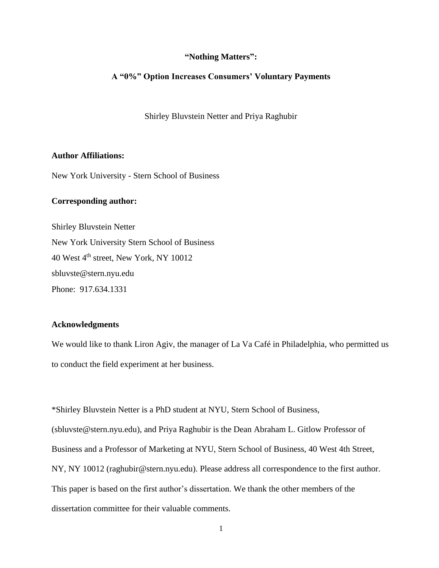## **"Nothing Matters":**

## **A "0%" Option Increases Consumers' Voluntary Payments**

Shirley Bluvstein Netter and Priya Raghubir

# **Author Affiliations:**

New York University - Stern School of Business

# **Corresponding author:**

Shirley Bluvstein Netter New York University Stern School of Business 40 West 4<sup>th</sup> street, New York, NY 10012 sbluvste@stern.nyu.edu Phone: 917.634.1331

## **Acknowledgments**

We would like to thank Liron Agiv, the manager of La Va Café in Philadelphia, who permitted us to conduct the field experiment at her business.

\*Shirley Bluvstein Netter is a PhD student at NYU, Stern School of Business, (sbluvste@stern.nyu.edu), and Priya Raghubir is the Dean Abraham L. Gitlow Professor of Business and a Professor of Marketing at NYU, Stern School of Business, 40 West 4th Street, NY, NY 10012 [\(raghubir@stern.nyu.edu\)](mailto:raghubir@stern.nyu.edu). Please address all correspondence to the first author. This paper is based on the first author's dissertation. We thank the other members of the dissertation committee for their valuable comments.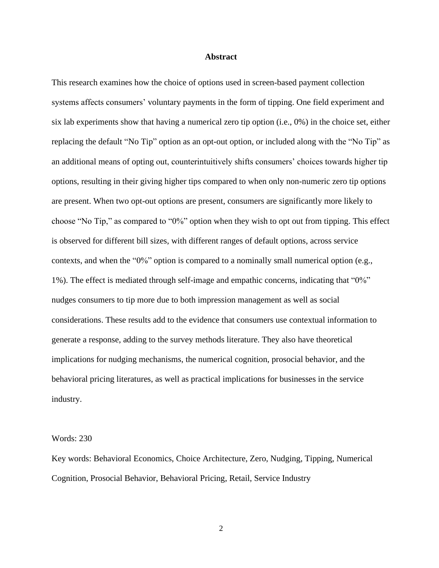#### **Abstract**

This research examines how the choice of options used in screen-based payment collection systems affects consumers' voluntary payments in the form of tipping. One field experiment and six lab experiments show that having a numerical zero tip option (i.e., 0%) in the choice set, either replacing the default "No Tip" option as an opt-out option, or included along with the "No Tip" as an additional means of opting out, counterintuitively shifts consumers' choices towards higher tip options, resulting in their giving higher tips compared to when only non-numeric zero tip options are present. When two opt-out options are present, consumers are significantly more likely to choose "No Tip," as compared to "0%" option when they wish to opt out from tipping. This effect is observed for different bill sizes, with different ranges of default options, across service contexts, and when the "0%" option is compared to a nominally small numerical option (e.g., 1%). The effect is mediated through self-image and empathic concerns, indicating that "0%" nudges consumers to tip more due to both impression management as well as social considerations. These results add to the evidence that consumers use contextual information to generate a response, adding to the survey methods literature. They also have theoretical implications for nudging mechanisms, the numerical cognition, prosocial behavior, and the behavioral pricing literatures, as well as practical implications for businesses in the service industry.

#### Words: 230

Key words: Behavioral Economics, Choice Architecture, Zero, Nudging, Tipping, Numerical Cognition, Prosocial Behavior, Behavioral Pricing, Retail, Service Industry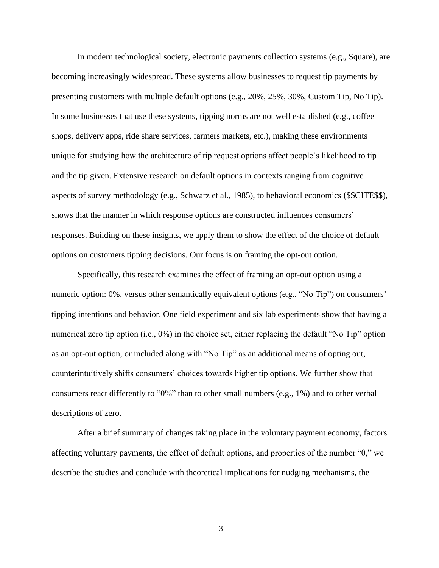In modern technological society, electronic payments collection systems (e.g., Square), are becoming increasingly widespread. These systems allow businesses to request tip payments by presenting customers with multiple default options (e.g., 20%, 25%, 30%, Custom Tip, No Tip). In some businesses that use these systems, tipping norms are not well established (e.g., coffee shops, delivery apps, ride share services, farmers markets, etc.), making these environments unique for studying how the architecture of tip request options affect people's likelihood to tip and the tip given. Extensive research on default options in contexts ranging from cognitive aspects of survey methodology (e.g., Schwarz et al., 1985), to behavioral economics (\$\$CITE\$\$), shows that the manner in which response options are constructed influences consumers' responses. Building on these insights, we apply them to show the effect of the choice of default options on customers tipping decisions. Our focus is on framing the opt-out option.

Specifically, this research examines the effect of framing an opt-out option using a numeric option: 0%, versus other semantically equivalent options (e.g., "No Tip") on consumers' tipping intentions and behavior. One field experiment and six lab experiments show that having a numerical zero tip option (i.e., 0%) in the choice set, either replacing the default "No Tip" option as an opt-out option, or included along with "No Tip" as an additional means of opting out, counterintuitively shifts consumers' choices towards higher tip options. We further show that consumers react differently to "0%" than to other small numbers (e.g., 1%) and to other verbal descriptions of zero.

After a brief summary of changes taking place in the voluntary payment economy, factors affecting voluntary payments, the effect of default options, and properties of the number "0," we describe the studies and conclude with theoretical implications for nudging mechanisms, the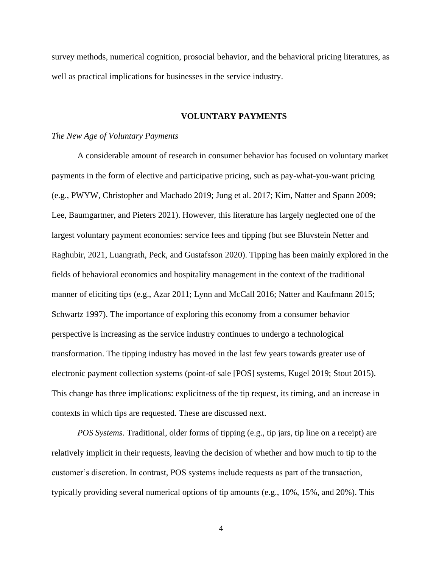survey methods, numerical cognition, prosocial behavior, and the behavioral pricing literatures, as well as practical implications for businesses in the service industry.

#### **VOLUNTARY PAYMENTS**

#### *The New Age of Voluntary Payments*

A considerable amount of research in consumer behavior has focused on voluntary market payments in the form of elective and participative pricing, such as pay-what-you-want pricing (e.g., PWYW, Christopher and Machado 2019; Jung et al. 2017; Kim, Natter and Spann 2009; Lee, Baumgartner, and Pieters 2021). However, this literature has largely neglected one of the largest voluntary payment economies: service fees and tipping (but see Bluvstein Netter and Raghubir, 2021, Luangrath, Peck, and Gustafsson 2020). Tipping has been mainly explored in the fields of behavioral economics and hospitality management in the context of the traditional manner of eliciting tips (e.g., Azar 2011; Lynn and McCall 2016; Natter and Kaufmann 2015; Schwartz 1997). The importance of exploring this economy from a consumer behavior perspective is increasing as the service industry continues to undergo a technological transformation. The tipping industry has moved in the last few years towards greater use of electronic payment collection systems (point-of sale [POS] systems, Kugel 2019; Stout 2015). This change has three implications: explicitness of the tip request, its timing, and an increase in contexts in which tips are requested. These are discussed next.

*POS Systems*. Traditional, older forms of tipping (e.g., tip jars, tip line on a receipt) are relatively implicit in their requests, leaving the decision of whether and how much to tip to the customer's discretion. In contrast, POS systems include requests as part of the transaction, typically providing several numerical options of tip amounts (e.g., 10%, 15%, and 20%). This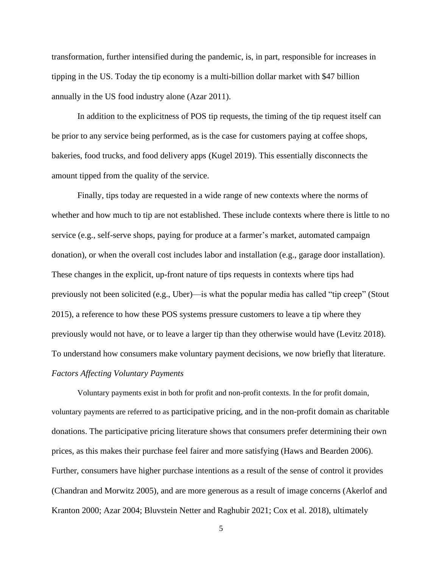transformation, further intensified during the pandemic, is, in part, responsible for increases in tipping in the US. Today the tip economy is a multi-billion dollar market with \$47 billion annually in the US food industry alone (Azar 2011).

In addition to the explicitness of POS tip requests, the timing of the tip request itself can be prior to any service being performed, as is the case for customers paying at coffee shops, bakeries, food trucks, and food delivery apps (Kugel 2019). This essentially disconnects the amount tipped from the quality of the service.

Finally, tips today are requested in a wide range of new contexts where the norms of whether and how much to tip are not established. These include contexts where there is little to no service (e.g., self-serve shops, paying for produce at a farmer's market, automated campaign donation), or when the overall cost includes labor and installation (e.g., garage door installation). These changes in the explicit, up-front nature of tips requests in contexts where tips had previously not been solicited (e.g., Uber)—is what the popular media has called "tip creep" (Stout 2015), a reference to how these POS systems pressure customers to leave a tip where they previously would not have, or to leave a larger tip than they otherwise would have (Levitz 2018). To understand how consumers make voluntary payment decisions, we now briefly that literature. *Factors Affecting Voluntary Payments*

Voluntary payments exist in both for profit and non-profit contexts. In the for profit domain, voluntary payments are referred to as participative pricing, and in the non-profit domain as charitable donations. The participative pricing literature shows that consumers prefer determining their own prices, as this makes their purchase feel fairer and more satisfying (Haws and Bearden 2006). Further, consumers have higher purchase intentions as a result of the sense of control it provides (Chandran and Morwitz 2005), and are more generous as a result of image concerns (Akerlof and Kranton 2000; Azar 2004; Bluvstein Netter and Raghubir 2021; Cox et al. 2018), ultimately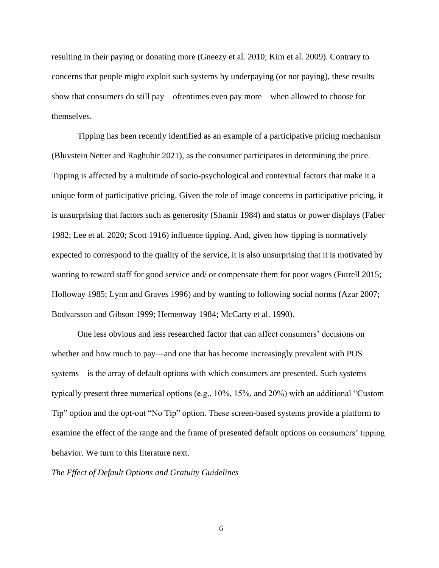resulting in their paying or donating more (Gneezy et al. 2010; Kim et al. 2009). Contrary to concerns that people might exploit such systems by underpaying (or not paying), these results show that consumers do still pay—oftentimes even pay more—when allowed to choose for themselves.

Tipping has been recently identified as an example of a participative pricing mechanism (Bluvstein Netter and Raghubir 2021), as the consumer participates in determining the price. Tipping is affected by a multitude of socio-psychological and contextual factors that make it a unique form of participative pricing. Given the role of image concerns in participative pricing, it is unsurprising that factors such as generosity (Shamir 1984) and status or power displays (Faber 1982; Lee et al. 2020; Scott 1916) influence tipping. And, given how tipping is normatively expected to correspond to the quality of the service, it is also unsurprising that it is motivated by wanting to reward staff for good service and/ or compensate them for poor wages (Futrell 2015; Holloway 1985; Lynn and Graves 1996) and by wanting to following social norms (Azar 2007; Bodvarsson and Gibson 1999; Hemenway 1984; McCarty et al. 1990).

One less obvious and less researched factor that can affect consumers' decisions on whether and how much to pay—and one that has become increasingly prevalent with POS systems—is the array of default options with which consumers are presented. Such systems typically present three numerical options (e.g., 10%, 15%, and 20%) with an additional "Custom Tip" option and the opt-out "No Tip" option. These screen-based systems provide a platform to examine the effect of the range and the frame of presented default options on consumers' tipping behavior. We turn to this literature next.

*The Effect of Default Options and Gratuity Guidelines*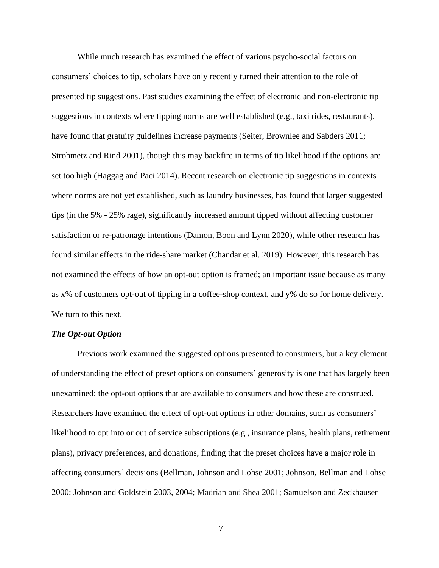While much research has examined the effect of various psycho-social factors on consumers' choices to tip, scholars have only recently turned their attention to the role of presented tip suggestions. Past studies examining the effect of electronic and non-electronic tip suggestions in contexts where tipping norms are well established (e.g., taxi rides, restaurants), have found that gratuity guidelines increase payments (Seiter, Brownlee and Sabders 2011; Strohmetz and Rind 2001), though this may backfire in terms of tip likelihood if the options are set too high (Haggag and Paci 2014). Recent research on electronic tip suggestions in contexts where norms are not yet established, such as laundry businesses, has found that larger suggested tips (in the 5% - 25% rage), significantly increased amount tipped without affecting customer satisfaction or re-patronage intentions (Damon, Boon and Lynn 2020), while other research has found similar effects in the ride-share market (Chandar et al. 2019). However, this research has not examined the effects of how an opt-out option is framed; an important issue because as many as x% of customers opt-out of tipping in a coffee-shop context, and y% do so for home delivery. We turn to this next.

## *The Opt-out Option*

Previous work examined the suggested options presented to consumers, but a key element of understanding the effect of preset options on consumers' generosity is one that has largely been unexamined: the opt-out options that are available to consumers and how these are construed. Researchers have examined the effect of opt-out options in other domains, such as consumers' likelihood to opt into or out of service subscriptions (e.g., insurance plans, health plans, retirement plans), privacy preferences, and donations, finding that the preset choices have a major role in affecting consumers' decisions (Bellman, Johnson and Lohse 2001; Johnson, Bellman and Lohse 2000; Johnson and Goldstein 2003, 2004; Madrian and Shea 2001; Samuelson and Zeckhauser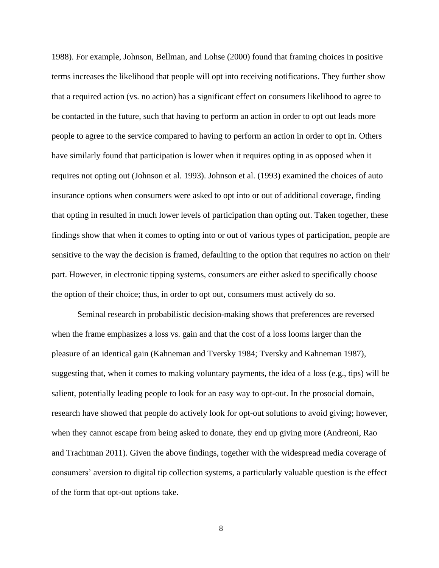1988). For example, Johnson, Bellman, and Lohse (2000) found that framing choices in positive terms increases the likelihood that people will opt into receiving notifications. They further show that a required action (vs. no action) has a significant effect on consumers likelihood to agree to be contacted in the future, such that having to perform an action in order to opt out leads more people to agree to the service compared to having to perform an action in order to opt in. Others have similarly found that participation is lower when it requires opting in as opposed when it requires not opting out (Johnson et al. 1993). Johnson et al. (1993) examined the choices of auto insurance options when consumers were asked to opt into or out of additional coverage, finding that opting in resulted in much lower levels of participation than opting out. Taken together, these findings show that when it comes to opting into or out of various types of participation, people are sensitive to the way the decision is framed, defaulting to the option that requires no action on their part. However, in electronic tipping systems, consumers are either asked to specifically choose the option of their choice; thus, in order to opt out, consumers must actively do so.

Seminal research in probabilistic decision-making shows that preferences are reversed when the frame emphasizes a loss vs. gain and that the cost of a loss looms larger than the pleasure of an identical gain (Kahneman and Tversky 1984; Tversky and Kahneman 1987), suggesting that, when it comes to making voluntary payments, the idea of a loss (e.g., tips) will be salient, potentially leading people to look for an easy way to opt-out. In the prosocial domain, research have showed that people do actively look for opt-out solutions to avoid giving; however, when they cannot escape from being asked to donate, they end up giving more (Andreoni, Rao and Trachtman 2011). Given the above findings, together with the widespread media coverage of consumers' aversion to digital tip collection systems, a particularly valuable question is the effect of the form that opt-out options take.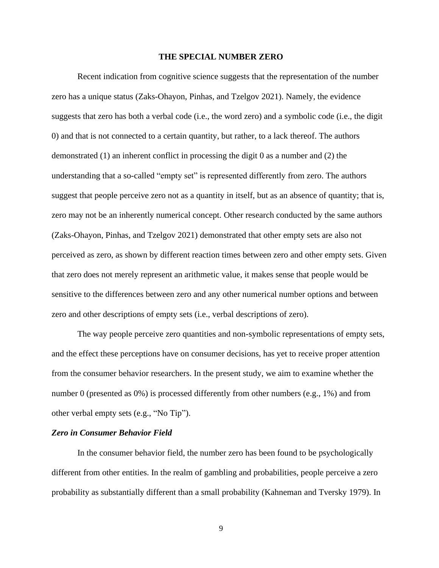#### **THE SPECIAL NUMBER ZERO**

Recent indication from cognitive science suggests that the representation of the number zero has a unique status (Zaks-Ohayon, Pinhas, and Tzelgov 2021). Namely, the evidence suggests that zero has both a verbal code (i.e., the word zero) and a symbolic code (i.e., the digit 0) and that is not connected to a certain quantity, but rather, to a lack thereof. The authors demonstrated (1) an inherent conflict in processing the digit 0 as a number and (2) the understanding that a so-called "empty set" is represented differently from zero. The authors suggest that people perceive zero not as a quantity in itself, but as an absence of quantity; that is, zero may not be an inherently numerical concept. Other research conducted by the same authors (Zaks-Ohayon, Pinhas, and Tzelgov 2021) demonstrated that other empty sets are also not perceived as zero, as shown by different reaction times between zero and other empty sets. Given that zero does not merely represent an arithmetic value, it makes sense that people would be sensitive to the differences between zero and any other numerical number options and between zero and other descriptions of empty sets (i.e., verbal descriptions of zero).

The way people perceive zero quantities and non-symbolic representations of empty sets, and the effect these perceptions have on consumer decisions, has yet to receive proper attention from the consumer behavior researchers. In the present study, we aim to examine whether the number 0 (presented as 0%) is processed differently from other numbers (e.g., 1%) and from other verbal empty sets (e.g., "No Tip").

#### *Zero in Consumer Behavior Field*

In the consumer behavior field, the number zero has been found to be psychologically different from other entities. In the realm of gambling and probabilities, people perceive a zero probability as substantially different than a small probability (Kahneman and Tversky 1979). In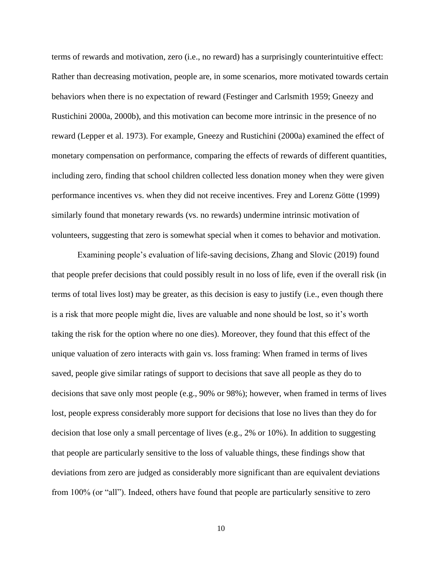terms of rewards and motivation, zero (i.e., no reward) has a surprisingly counterintuitive effect: Rather than decreasing motivation, people are, in some scenarios, more motivated towards certain behaviors when there is no expectation of reward (Festinger and Carlsmith 1959; Gneezy and Rustichini 2000a, 2000b), and this motivation can become more intrinsic in the presence of no reward (Lepper et al. 1973). For example, Gneezy and Rustichini (2000a) examined the effect of monetary compensation on performance, comparing the effects of rewards of different quantities, including zero, finding that school children collected less donation money when they were given performance incentives vs. when they did not receive incentives. Frey and Lorenz Götte (1999) similarly found that monetary rewards (vs. no rewards) undermine intrinsic motivation of volunteers, suggesting that zero is somewhat special when it comes to behavior and motivation.

Examining people's evaluation of life-saving decisions, Zhang and Slovic (2019) found that people prefer decisions that could possibly result in no loss of life, even if the overall risk (in terms of total lives lost) may be greater, as this decision is easy to justify (i.e., even though there is a risk that more people might die, lives are valuable and none should be lost, so it's worth taking the risk for the option where no one dies). Moreover, they found that this effect of the unique valuation of zero interacts with gain vs. loss framing: When framed in terms of lives saved, people give similar ratings of support to decisions that save all people as they do to decisions that save only most people (e.g., 90% or 98%); however, when framed in terms of lives lost, people express considerably more support for decisions that lose no lives than they do for decision that lose only a small percentage of lives (e.g., 2% or 10%). In addition to suggesting that people are particularly sensitive to the loss of valuable things, these findings show that deviations from zero are judged as considerably more significant than are equivalent deviations from 100% (or "all"). Indeed, others have found that people are particularly sensitive to zero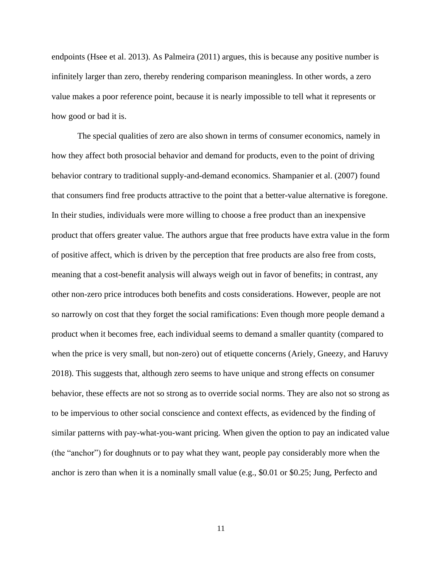endpoints (Hsee et al. 2013). As Palmeira (2011) argues, this is because any positive number is infinitely larger than zero, thereby rendering comparison meaningless. In other words, a zero value makes a poor reference point, because it is nearly impossible to tell what it represents or how good or bad it is.

The special qualities of zero are also shown in terms of consumer economics, namely in how they affect both prosocial behavior and demand for products, even to the point of driving behavior contrary to traditional supply-and-demand economics. Shampanier et al. [\(2007\)](https://link.springer.com/article/10.1007/s11002-012-9169-2#ref-CR7) found that consumers find free products attractive to the point that a better-value alternative is foregone. In their studies, individuals were more willing to choose a free product than an inexpensive product that offers greater value. The authors argue that free products have extra value in the form of positive affect, which is driven by the perception that free products are also free from costs, meaning that a cost-benefit analysis will always weigh out in favor of benefits; in contrast, any other non-zero price introduces both benefits and costs considerations. However, people are not so narrowly on cost that they forget the social ramifications: Even though more people demand a product when it becomes free, each individual seems to demand a smaller quantity (compared to when the price is very small, but non-zero) out of etiquette concerns (Ariely, Gneezy, and Haruvy 2018). This suggests that, although zero seems to have unique and strong effects on consumer behavior, these effects are not so strong as to override social norms. They are also not so strong as to be impervious to other social conscience and context effects, as evidenced by the finding of similar patterns with pay-what-you-want pricing. When given the option to pay an indicated value (the "anchor") for doughnuts or to pay what they want, people pay considerably more when the anchor is zero than when it is a nominally small value (e.g., \$0.01 or \$0.25; Jung, Perfecto and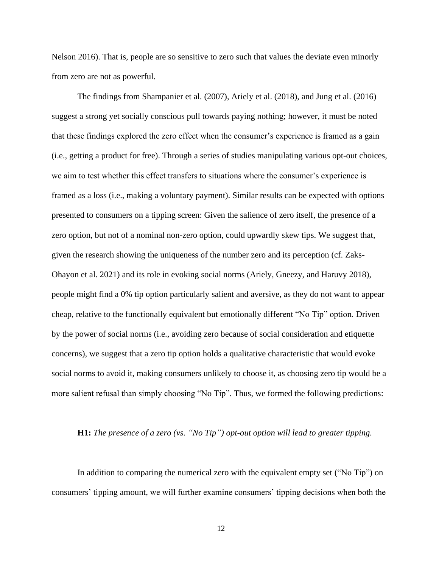Nelson 2016). That is, people are so sensitive to zero such that values the deviate even minorly from zero are not as powerful.

The findings from Shampanier et al. (2007), Ariely et al. (2018), and Jung et al. (2016) suggest a strong yet socially conscious pull towards paying nothing; however, it must be noted that these findings explored the zero effect when the consumer's experience is framed as a gain (i.e., getting a product for free). Through a series of studies manipulating various opt-out choices, we aim to test whether this effect transfers to situations where the consumer's experience is framed as a loss (i.e., making a voluntary payment). Similar results can be expected with options presented to consumers on a tipping screen: Given the salience of zero itself, the presence of a zero option, but not of a nominal non-zero option, could upwardly skew tips. We suggest that, given the research showing the uniqueness of the number zero and its perception (cf. Zaks-Ohayon et al. 2021) and its role in evoking social norms (Ariely, Gneezy, and Haruvy 2018), people might find a 0% tip option particularly salient and aversive, as they do not want to appear cheap, relative to the functionally equivalent but emotionally different "No Tip" option. Driven by the power of social norms (i.e., avoiding zero because of social consideration and etiquette concerns), we suggest that a zero tip option holds a qualitative characteristic that would evoke social norms to avoid it, making consumers unlikely to choose it, as choosing zero tip would be a more salient refusal than simply choosing "No Tip". Thus, we formed the following predictions:

#### **H1:** *The presence of a zero (vs. "No Tip") opt-out option will lead to greater tipping.*

In addition to comparing the numerical zero with the equivalent empty set ("No Tip") on consumers' tipping amount, we will further examine consumers' tipping decisions when both the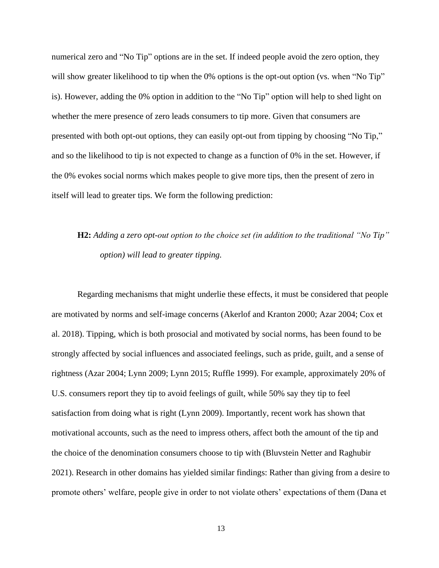numerical zero and "No Tip" options are in the set. If indeed people avoid the zero option, they will show greater likelihood to tip when the 0% options is the opt-out option (vs. when "No Tip" is). However, adding the 0% option in addition to the "No Tip" option will help to shed light on whether the mere presence of zero leads consumers to tip more. Given that consumers are presented with both opt-out options, they can easily opt-out from tipping by choosing "No Tip," and so the likelihood to tip is not expected to change as a function of 0% in the set. However, if the 0% evokes social norms which makes people to give more tips, then the present of zero in itself will lead to greater tips. We form the following prediction:

# **H2:** *Adding a zero opt-out option to the choice set (in addition to the traditional "No Tip" option) will lead to greater tipping.*

Regarding mechanisms that might underlie these effects, it must be considered that people are motivated by norms and self-image concerns (Akerlof and Kranton 2000; Azar 2004; Cox et al. 2018). Tipping, which is both prosocial and motivated by social norms, has been found to be strongly affected by social influences and associated feelings, such as pride, guilt, and a sense of rightness (Azar 2004; Lynn 2009; Lynn 2015; Ruffle 1999). For example, approximately 20% of U.S. consumers report they tip to avoid feelings of guilt, while 50% say they tip to feel satisfaction from doing what is right (Lynn 2009). Importantly, recent work has shown that motivational accounts, such as the need to impress others, affect both the amount of the tip and the choice of the denomination consumers choose to tip with (Bluvstein Netter and Raghubir 2021). Research in other domains has yielded similar findings: Rather than giving from a desire to promote others' welfare, people give in order to not violate others' expectations of them (Dana et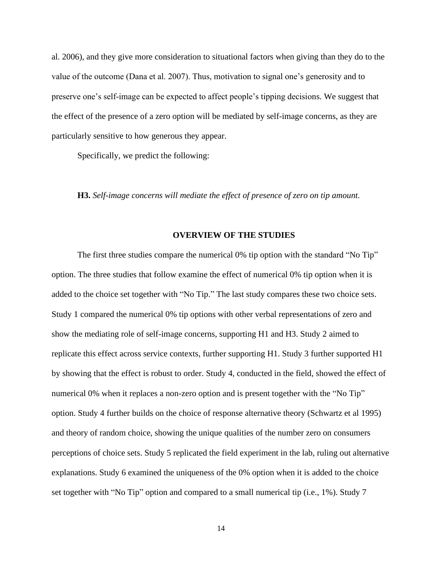al. 2006), and they give more consideration to situational factors when giving than they do to the value of the outcome (Dana et al. 2007). Thus, motivation to signal one's generosity and to preserve one's self-image can be expected to affect people's tipping decisions. We suggest that the effect of the presence of a zero option will be mediated by self-image concerns, as they are particularly sensitive to how generous they appear.

Specifically, we predict the following:

**H3.** *Self-image concerns will mediate the effect of presence of zero on tip amount.*

#### **OVERVIEW OF THE STUDIES**

The first three studies compare the numerical 0% tip option with the standard "No Tip" option. The three studies that follow examine the effect of numerical 0% tip option when it is added to the choice set together with "No Tip." The last study compares these two choice sets. Study 1 compared the numerical 0% tip options with other verbal representations of zero and show the mediating role of self-image concerns, supporting H1 and H3. Study 2 aimed to replicate this effect across service contexts, further supporting H1. Study 3 further supported H1 by showing that the effect is robust to order. Study 4, conducted in the field, showed the effect of numerical 0% when it replaces a non-zero option and is present together with the "No Tip" option. Study 4 further builds on the choice of response alternative theory (Schwartz et al 1995) and theory of random choice, showing the unique qualities of the number zero on consumers perceptions of choice sets. Study 5 replicated the field experiment in the lab, ruling out alternative explanations. Study 6 examined the uniqueness of the 0% option when it is added to the choice set together with "No Tip" option and compared to a small numerical tip (i.e., 1%). Study 7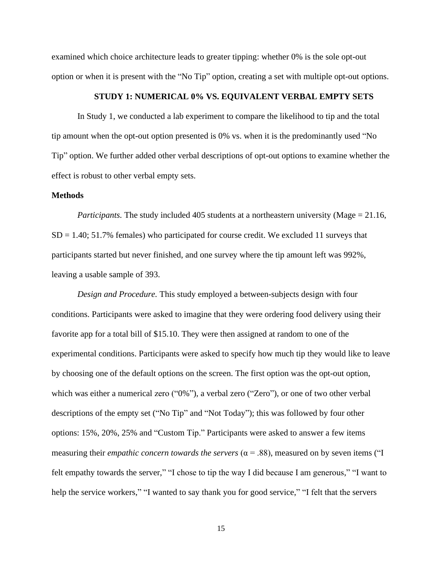examined which choice architecture leads to greater tipping: whether 0% is the sole opt-out option or when it is present with the "No Tip" option, creating a set with multiple opt-out options.

## **STUDY 1: NUMERICAL 0% VS. EQUIVALENT VERBAL EMPTY SETS**

In Study 1, we conducted a lab experiment to compare the likelihood to tip and the total tip amount when the opt-out option presented is 0% vs. when it is the predominantly used "No Tip" option. We further added other verbal descriptions of opt-out options to examine whether the effect is robust to other verbal empty sets.

#### **Methods**

*Participants.* The study included 405 students at a northeastern university (Mage = 21.16,  $SD = 1.40$ ; 51.7% females) who participated for course credit. We excluded 11 surveys that participants started but never finished, and one survey where the tip amount left was 992%, leaving a usable sample of 393.

*Design and Procedure.* This study employed a between-subjects design with four conditions. Participants were asked to imagine that they were ordering food delivery using their favorite app for a total bill of \$15.10. They were then assigned at random to one of the experimental conditions. Participants were asked to specify how much tip they would like to leave by choosing one of the default options on the screen. The first option was the opt-out option, which was either a numerical zero ("0%"), a verbal zero ("Zero"), or one of two other verbal descriptions of the empty set ("No Tip" and "Not Today"); this was followed by four other options: 15%, 20%, 25% and "Custom Tip." Participants were asked to answer a few items measuring their *empathic concern towards the servers* ( $\alpha$  = .88), measured on by seven items ("I felt empathy towards the server," "I chose to tip the way I did because I am generous," "I want to help the service workers," "I wanted to say thank you for good service," "I felt that the servers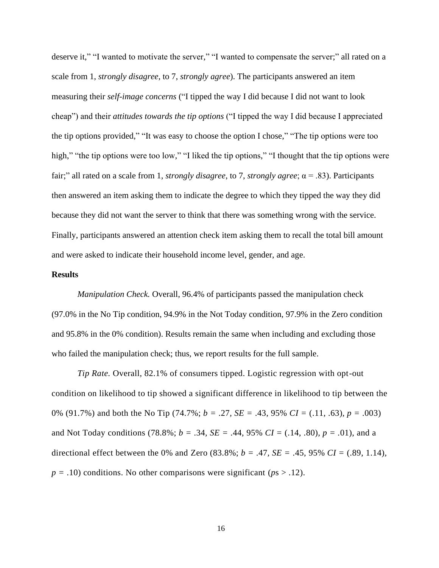deserve it," "I wanted to motivate the server," "I wanted to compensate the server;" all rated on a scale from 1, *strongly disagree*, to 7, *strongly agree*). The participants answered an item measuring their *self-image concerns* ("I tipped the way I did because I did not want to look cheap") and their *attitudes towards the tip options* ("I tipped the way I did because I appreciated the tip options provided," "It was easy to choose the option I chose," "The tip options were too high," "the tip options were too low," "I liked the tip options," "I thought that the tip options were fair;" all rated on a scale from 1, *strongly disagree*, to 7, *strongly agree*; α = .83). Participants then answered an item asking them to indicate the degree to which they tipped the way they did because they did not want the server to think that there was something wrong with the service. Finally, participants answered an attention check item asking them to recall the total bill amount and were asked to indicate their household income level, gender, and age.

## **Results**

*Manipulation Check.* Overall, 96.4% of participants passed the manipulation check (97.0% in the No Tip condition, 94.9% in the Not Today condition, 97.9% in the Zero condition and 95.8% in the 0% condition). Results remain the same when including and excluding those who failed the manipulation check; thus, we report results for the full sample.

*Tip Rate.* Overall, 82.1% of consumers tipped. Logistic regression with opt-out condition on likelihood to tip showed a significant difference in likelihood to tip between the 0% (91.7%) and both the No Tip (74.7%; *b =* .27*, SE =* .43, 95% *CI =* (.11, .63)*, p =* .003) and Not Today conditions (78.8%; *b =* .34*, SE =* .44, 95% *CI =* (.14, .80)*, p = .*01), and a directional effect between the 0% and Zero  $(83.8\%; b = .47, SE = .45, 95\% \text{ CI} = (.89, 1.14),$  $p = .10$ ) conditions. No other comparisons were significant ( $p_s > .12$ ).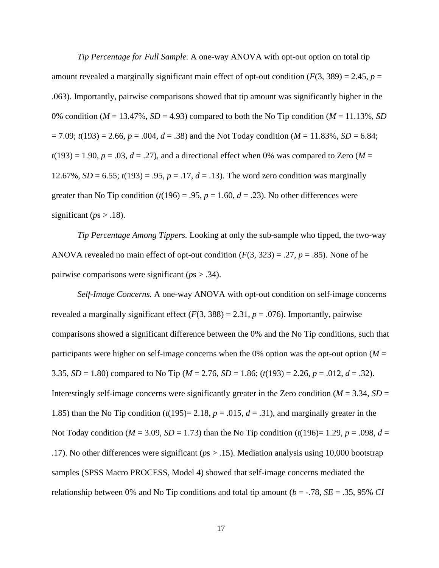*Tip Percentage for Full Sample.* A one-way ANOVA with opt-out option on total tip amount revealed a marginally significant main effect of opt-out condition  $(F(3, 389) = 2.45, p =$ .063). Importantly, pairwise comparisons showed that tip amount was significantly higher in the 0% condition ( $M = 13.47\%$ ,  $SD = 4.93$ ) compared to both the No Tip condition ( $M = 11.13\%$ , *SD*  $= 7.09$ ;  $t(193) = 2.66$ ,  $p = .004$ ,  $d = .38$ ) and the Not Today condition ( $M = 11.83$ %,  $SD = 6.84$ ;  $t(193) = 1.90$ ,  $p = .03$ ,  $d = .27$ ), and a directional effect when 0% was compared to Zero (*M* = 12.67%, *SD* = 6.55;  $t(193) = .95$ ,  $p = .17$ ,  $d = .13$ ). The word zero condition was marginally greater than No Tip condition  $(t(196) = .95, p = 1.60, d = .23)$ . No other differences were significant ( $ps > .18$ ).

*Tip Percentage Among Tippers.* Looking at only the sub-sample who tipped, the two-way ANOVA revealed no main effect of opt-out condition  $(F(3, 323) = .27, p = .85)$ . None of he pairwise comparisons were significant (*p*s > .34).

*Self-Image Concerns.* A one-way ANOVA with opt-out condition on self-image concerns revealed a marginally significant effect  $(F(3, 388) = 2.31, p = .076)$ . Importantly, pairwise comparisons showed a significant difference between the 0% and the No Tip conditions, such that participants were higher on self-image concerns when the 0% option was the opt-out option ( $M =$ 3.35, *SD* = 1.80) compared to No Tip ( $M = 2.76$ , *SD* = 1.86; ( $t(193) = 2.26$ ,  $p = .012$ ,  $d = .32$ ). Interestingly self-image concerns were significantly greater in the Zero condition ( $M = 3.34$ ,  $SD =$ 1.85) than the No Tip condition  $(t(195)= 2.18, p = .015, d = .31)$ , and marginally greater in the Not Today condition ( $M = 3.09$ ,  $SD = 1.73$ ) than the No Tip condition ( $t(196) = 1.29$ ,  $p = .098$ ,  $d =$ .17). No other differences were significant (*p*s > .15). Mediation analysis using 10,000 bootstrap samples (SPSS Macro PROCESS, Model 4) showed that self-image concerns mediated the relationship between 0% and No Tip conditions and total tip amount (*b* = -.78, *SE* = .35, 95% *CI*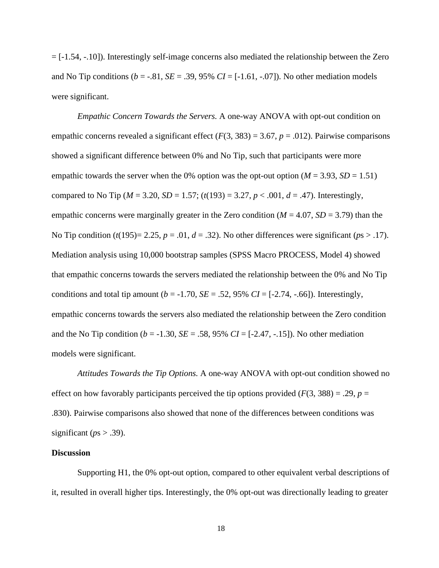= [-1.54, -.10]). Interestingly self-image concerns also mediated the relationship between the Zero and No Tip conditions ( $b = -.81$ ,  $SE = .39$ , 95%  $CI = [-1.61, -.07]$ ). No other mediation models were significant.

*Empathic Concern Towards the Servers.* A one-way ANOVA with opt-out condition on empathic concerns revealed a significant effect  $(F(3, 383) = 3.67, p = .012)$ . Pairwise comparisons showed a significant difference between 0% and No Tip, such that participants were more empathic towards the server when the 0% option was the opt-out option  $(M = 3.93, SD = 1.51)$ compared to No Tip ( $M = 3.20$ ,  $SD = 1.57$ ; ( $t(193) = 3.27$ ,  $p < .001$ ,  $d = .47$ ). Interestingly, empathic concerns were marginally greater in the Zero condition  $(M = 4.07, SD = 3.79)$  than the No Tip condition  $(t(195)=2.25, p=.01, d=.32)$ . No other differences were significant ( $ps > .17$ ). Mediation analysis using 10,000 bootstrap samples (SPSS Macro PROCESS, Model 4) showed that empathic concerns towards the servers mediated the relationship between the 0% and No Tip conditions and total tip amount  $(b = -1.70, SE = .52, 95\% \text{ CI} = [-2.74, -.66])$ . Interestingly, empathic concerns towards the servers also mediated the relationship between the Zero condition and the No Tip condition ( $b = -1.30$ ,  $SE = .58$ ,  $95\%$   $CI = [-2.47, -0.15]$ ). No other mediation models were significant.

*Attitudes Towards the Tip Options.* A one-way ANOVA with opt-out condition showed no effect on how favorably participants perceived the tip options provided  $(F(3, 388)) = .29$ ,  $p =$ .830). Pairwise comparisons also showed that none of the differences between conditions was significant ( $ps$  > .39).

#### **Discussion**

Supporting H1, the 0% opt-out option, compared to other equivalent verbal descriptions of it, resulted in overall higher tips. Interestingly, the 0% opt-out was directionally leading to greater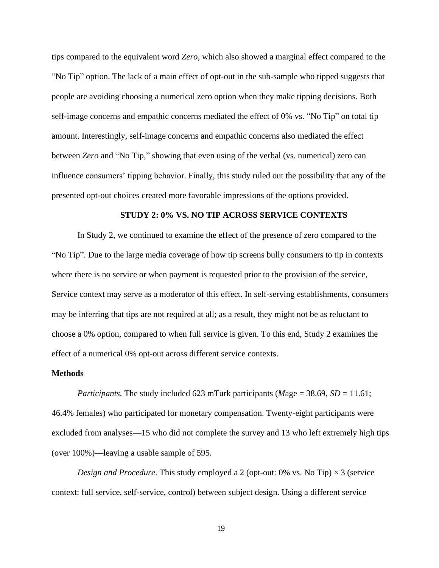tips compared to the equivalent word *Zero*, which also showed a marginal effect compared to the "No Tip" option. The lack of a main effect of opt-out in the sub-sample who tipped suggests that people are avoiding choosing a numerical zero option when they make tipping decisions. Both self-image concerns and empathic concerns mediated the effect of 0% vs. "No Tip" on total tip amount. Interestingly, self-image concerns and empathic concerns also mediated the effect between *Zero* and "No Tip," showing that even using of the verbal (vs. numerical) zero can influence consumers' tipping behavior. Finally, this study ruled out the possibility that any of the presented opt-out choices created more favorable impressions of the options provided.

## **STUDY 2: 0% VS. NO TIP ACROSS SERVICE CONTEXTS**

In Study 2, we continued to examine the effect of the presence of zero compared to the "No Tip". Due to the large media coverage of how tip screens bully consumers to tip in contexts where there is no service or when payment is requested prior to the provision of the service, Service context may serve as a moderator of this effect. In self-serving establishments, consumers may be inferring that tips are not required at all; as a result, they might not be as reluctant to choose a 0% option, compared to when full service is given. To this end, Study 2 examines the effect of a numerical 0% opt-out across different service contexts.

#### **Methods**

*Participants.* The study included 623 mTurk participants (*M*age = 38.69, *SD* = 11.61; 46.4% females) who participated for monetary compensation. Twenty-eight participants were excluded from analyses—15 who did not complete the survey and 13 who left extremely high tips (over 100%)—leaving a usable sample of 595.

*Design and Procedure.* This study employed a 2 (opt-out: 0% vs. No Tip)  $\times$  3 (service context: full service, self-service, control) between subject design. Using a different service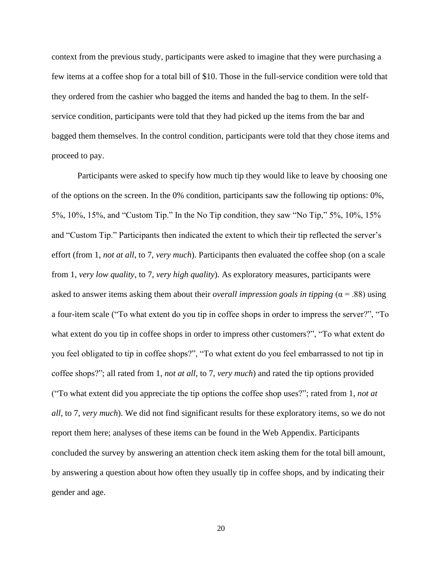context from the previous study, participants were asked to imagine that they were purchasing a few items at a coffee shop for a total bill of \$10. Those in the full-service condition were told that they ordered from the cashier who bagged the items and handed the bag to them. In the selfservice condition, participants were told that they had picked up the items from the bar and bagged them themselves. In the control condition, participants were told that they chose items and proceed to pay.

Participants were asked to specify how much tip they would like to leave by choosing one of the options on the screen. In the 0% condition, participants saw the following tip options: 0%, 5%, 10%, 15%, and "Custom Tip." In the No Tip condition, they saw "No Tip," 5%, 10%, 15% and "Custom Tip." Participants then indicated the extent to which their tip reflected the server's effort (from 1, *not at all*, to 7, *very much*). Participants then evaluated the coffee shop (on a scale from 1, *very low quality*, to 7, *very high quality*). As exploratory measures, participants were asked to answer items asking them about their *overall impression goals in tipping* (α = .88) using a four-item scale ("To what extent do you tip in coffee shops in order to impress the server?", "To what extent do you tip in coffee shops in order to impress other customers?", "To what extent do you feel obligated to tip in coffee shops?", "To what extent do you feel embarrassed to not tip in coffee shops?"; all rated from 1, *not at all,* to 7, *very much*) and rated the tip options provided ("To what extent did you appreciate the tip options the coffee shop uses?"; rated from 1, *not at all*, to 7, *very much*). We did not find significant results for these exploratory items, so we do not report them here; analyses of these items can be found in the Web Appendix. Participants concluded the survey by answering an attention check item asking them for the total bill amount, by answering a question about how often they usually tip in coffee shops, and by indicating their gender and age.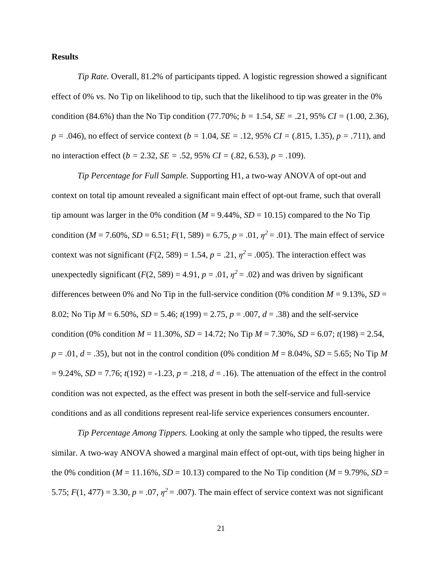## **Results**

*Tip Rate.* Overall, 81.2% of participants tipped. A logistic regression showed a significant effect of 0% vs. No Tip on likelihood to tip, such that the likelihood to tip was greater in the 0% condition (84.6%) than the No Tip condition (77.70%;  $b = 1.54$ ,  $SE = .21$ , 95%  $CI = (1.00, 2.36)$ , *p =* .046), no effect of service context (*b =* 1.04*, SE =* .12, 95% *CI =* (.815, 1.35), *p = .*711), and no interaction effect (*b =* 2.32*, SE =* .52, 95% *CI =* (.82, 6.53), *p = .*109).

*Tip Percentage for Full Sample.* Supporting H1, a two-way ANOVA of opt-out and context on total tip amount revealed a significant main effect of opt-out frame, such that overall tip amount was larger in the 0% condition  $(M = 9.44\%, SD = 10.15)$  compared to the No Tip condition ( $M = 7.60\%$ ,  $SD = 6.51$ ;  $F(1, 589) = 6.75$ ,  $p = .01$ ,  $\eta^2 = .01$ ). The main effect of service context was not significant  $(F(2, 589) = 1.54, p = .21, \eta^2 = .005)$ . The interaction effect was unexpectedly significant  $(F(2, 589) = 4.91, p = .01, \eta^2 = .02)$  and was driven by significant differences between 0% and No Tip in the full-service condition (0% condition  $M = 9.13\%$ ,  $SD =$ 8.02; No Tip *M* = 6.50%, *SD* = 5.46; *t*(199) = 2.75, *p* = .007, *d* = .38) and the self-service condition (0% condition  $M = 11.30\%$ ,  $SD = 14.72$ ; No Tip  $M = 7.30\%$ ,  $SD = 6.07$ ;  $t(198) = 2.54$ ,  $p = .01$ ,  $d = .35$ ), but not in the control condition (0% condition  $M = 8.04$ %,  $SD = 5.65$ ; No Tip M = 9.24%, *SD* = 7.76; *t*(192) = -1.23, *p* = .218, *d* = .16). The attenuation of the effect in the control condition was not expected, as the effect was present in both the self-service and full-service conditions and as all conditions represent real-life service experiences consumers encounter.

*Tip Percentage Among Tippers.* Looking at only the sample who tipped, the results were similar. A two-way ANOVA showed a marginal main effect of opt-out, with tips being higher in the 0% condition ( $M = 11.16\%$ ,  $SD = 10.13$ ) compared to the No Tip condition ( $M = 9.79\%$ ,  $SD =$ 5.75;  $F(1, 477) = 3.30$ ,  $p = .07$ ,  $\eta^2 = .007$ ). The main effect of service context was not significant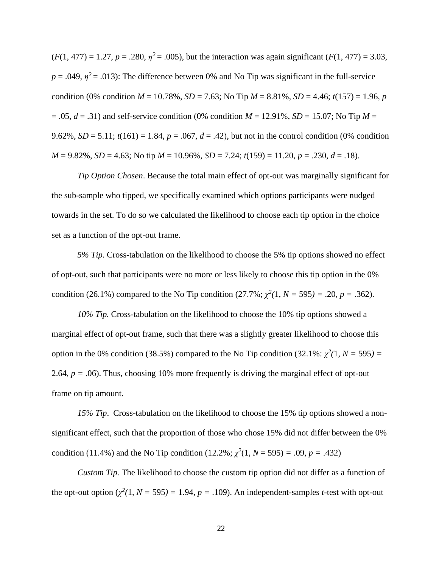$(F(1, 477) = 1.27, p = .280, \eta^2 = .005)$ , but the interaction was again significant  $(F(1, 477) = 3.03,$  $p = .049$ ,  $\eta^2 = .013$ ): The difference between 0% and No Tip was significant in the full-service condition (0% condition  $M = 10.78\%$ ,  $SD = 7.63$ ; No Tip  $M = 8.81\%$ ,  $SD = 4.46$ ;  $t(157) = 1.96$ , *p*  $= .05, d = .31$ ) and self-service condition (0% condition  $M = 12.91\%$ , *SD* = 15.07; No Tip  $M =$ 9.62%, *SD* = 5.11;  $t(161) = 1.84$ ,  $p = .067$ ,  $d = .42$ ), but not in the control condition (0% condition *M* = 9.82%, *SD* = 4.63; No tip *M* = 10.96%, *SD* = 7.24; *t*(159) = 11.20, *p* = .230, *d* = .18).

*Tip Option Chosen*. Because the total main effect of opt-out was marginally significant for the sub-sample who tipped, we specifically examined which options participants were nudged towards in the set. To do so we calculated the likelihood to choose each tip option in the choice set as a function of the opt-out frame.

*5% Tip.* Cross-tabulation on the likelihood to choose the 5% tip options showed no effect of opt-out, such that participants were no more or less likely to choose this tip option in the 0% condition (26.1%) compared to the No Tip condition (27.7%;  $\chi^2(1, N = 595) = .20, p = .362$ ).

*10% Tip.* Cross-tabulation on the likelihood to choose the 10% tip options showed a marginal effect of opt-out frame, such that there was a slightly greater likelihood to choose this option in the 0% condition (38.5%) compared to the No Tip condition (32.1%:  $\chi^2(1, N = 595) =$ 2.64,  $p = .06$ ). Thus, choosing 10% more frequently is driving the marginal effect of opt-out frame on tip amount.

*15% Tip*. Cross-tabulation on the likelihood to choose the 15% tip options showed a nonsignificant effect, such that the proportion of those who chose 15% did not differ between the 0% condition (11.4%) and the No Tip condition (12.2%;  $\chi^2(1, N = 595) = .09$ ,  $p = .432$ )

*Custom Tip.* The likelihood to choose the custom tip option did not differ as a function of the opt-out option  $(\chi^2(1, N = 595) = 1.94, p = .109)$ . An independent-samples *t*-test with opt-out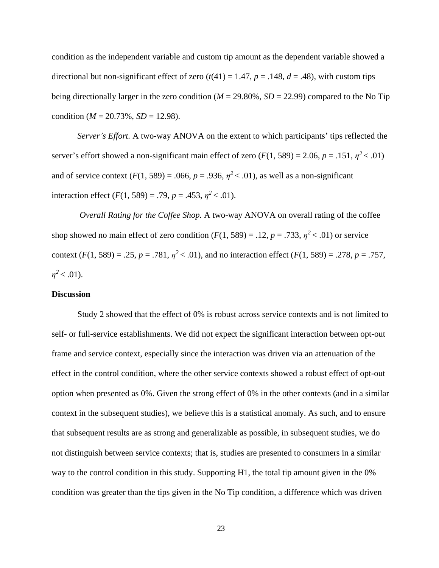condition as the independent variable and custom tip amount as the dependent variable showed a directional but non-significant effect of zero  $(t(41) = 1.47, p = .148, d = .48)$ , with custom tips being directionally larger in the zero condition ( $M = 29.80\%$ ,  $SD = 22.99$ ) compared to the No Tip condition ( $M = 20.73\%$ ,  $SD = 12.98$ ).

*Server's Effort.* A two-way ANOVA on the extent to which participants' tips reflected the server's effort showed a non-significant main effect of zero  $(F(1, 589) = 2.06, p = .151, \eta^2 < .01)$ and of service context  $(F(1, 589) = .066, p = .936, \eta^2 < .01)$ , as well as a non-significant interaction effect  $(F(1, 589) = .79, p = .453, \eta^2 < .01)$ .

*Overall Rating for the Coffee Shop.* A two-way ANOVA on overall rating of the coffee shop showed no main effect of zero condition  $(F(1, 589) = .12, p = .733, \eta^2 < .01)$  or service context  $(F(1, 589) = .25, p = .781, \eta^2 < .01)$ , and no interaction effect  $(F(1, 589) = .278, p = .757,$  $\eta^2$  < .01).

#### **Discussion**

Study 2 showed that the effect of 0% is robust across service contexts and is not limited to self- or full-service establishments. We did not expect the significant interaction between opt-out frame and service context, especially since the interaction was driven via an attenuation of the effect in the control condition, where the other service contexts showed a robust effect of opt-out option when presented as 0%. Given the strong effect of 0% in the other contexts (and in a similar context in the subsequent studies), we believe this is a statistical anomaly. As such, and to ensure that subsequent results are as strong and generalizable as possible, in subsequent studies, we do not distinguish between service contexts; that is, studies are presented to consumers in a similar way to the control condition in this study. Supporting H1, the total tip amount given in the 0% condition was greater than the tips given in the No Tip condition, a difference which was driven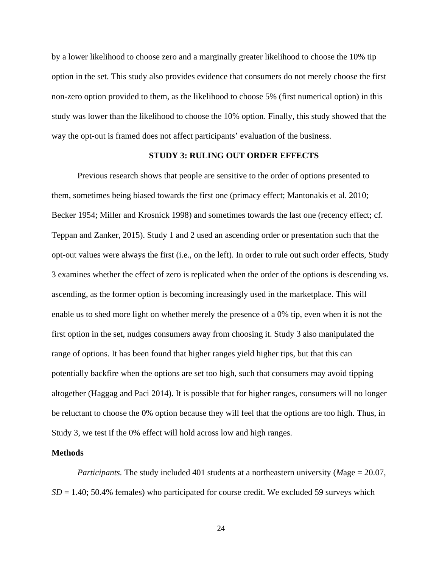by a lower likelihood to choose zero and a marginally greater likelihood to choose the 10% tip option in the set. This study also provides evidence that consumers do not merely choose the first non-zero option provided to them, as the likelihood to choose 5% (first numerical option) in this study was lower than the likelihood to choose the 10% option. Finally, this study showed that the way the opt-out is framed does not affect participants' evaluation of the business.

## **STUDY 3: RULING OUT ORDER EFFECTS**

Previous research shows that people are sensitive to the order of options presented to them, sometimes being biased towards the first one (primacy effect; Mantonakis et al. 2010; Becker 1954; Miller and Krosnick 1998) and sometimes towards the last one (recency effect; cf. Teppan and Zanker, 2015). Study 1 and 2 used an ascending order or presentation such that the opt-out values were always the first (i.e., on the left). In order to rule out such order effects, Study 3 examines whether the effect of zero is replicated when the order of the options is descending vs. ascending, as the former option is becoming increasingly used in the marketplace. This will enable us to shed more light on whether merely the presence of a 0% tip, even when it is not the first option in the set, nudges consumers away from choosing it. Study 3 also manipulated the range of options. It has been found that higher ranges yield higher tips, but that this can potentially backfire when the options are set too high, such that consumers may avoid tipping altogether (Haggag and Paci 2014). It is possible that for higher ranges, consumers will no longer be reluctant to choose the 0% option because they will feel that the options are too high. Thus, in Study 3, we test if the 0% effect will hold across low and high ranges.

#### **Methods**

*Participants.* The study included 401 students at a northeastern university (*M*age = 20.07,  $SD = 1.40$ ; 50.4% females) who participated for course credit. We excluded 59 surveys which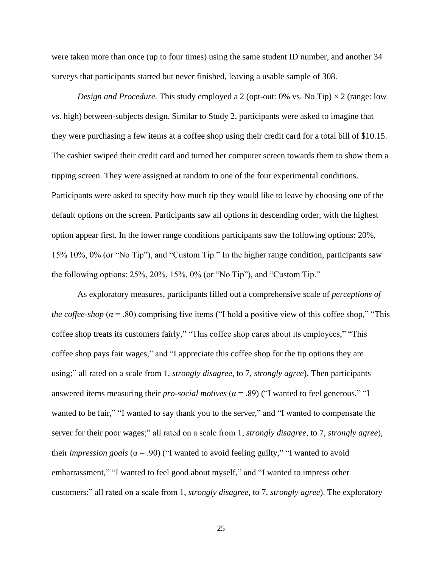were taken more than once (up to four times) using the same student ID number, and another 34 surveys that participants started but never finished, leaving a usable sample of 308.

*Design and Procedure.* This study employed a 2 (opt-out: 0% vs. No Tip)  $\times$  2 (range: low vs. high) between-subjects design. Similar to Study 2, participants were asked to imagine that they were purchasing a few items at a coffee shop using their credit card for a total bill of \$10.15. The cashier swiped their credit card and turned her computer screen towards them to show them a tipping screen. They were assigned at random to one of the four experimental conditions. Participants were asked to specify how much tip they would like to leave by choosing one of the default options on the screen. Participants saw all options in descending order, with the highest option appear first. In the lower range conditions participants saw the following options: 20%, 15% 10%, 0% (or "No Tip"), and "Custom Tip." In the higher range condition, participants saw the following options: 25%, 20%, 15%, 0% (or "No Tip"), and "Custom Tip."

As exploratory measures, participants filled out a comprehensive scale of *perceptions of the coffee-shop* ( $\alpha$  = .80) comprising five items ("I hold a positive view of this coffee shop," "This coffee shop treats its customers fairly," "This coffee shop cares about its employees," "This coffee shop pays fair wages," and "I appreciate this coffee shop for the tip options they are using;" all rated on a scale from 1, *strongly disagree*, to 7, *strongly agree*). Then participants answered items measuring their *pro-social motives* ( $\alpha$  = .89) ("I wanted to feel generous," "I wanted to be fair," "I wanted to say thank you to the server," and "I wanted to compensate the server for their poor wages;" all rated on a scale from 1, *strongly disagree*, to 7, *strongly agree*), their *impression goals* ( $\alpha$  = .90) ("I wanted to avoid feeling guilty," "I wanted to avoid embarrassment," "I wanted to feel good about myself," and "I wanted to impress other customers;" all rated on a scale from 1, *strongly disagree*, to 7, *strongly agree*). The exploratory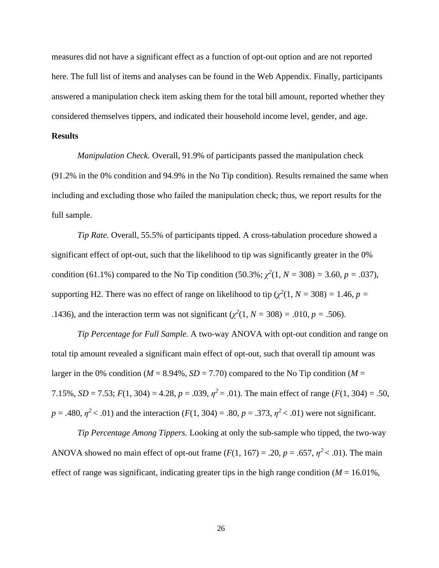measures did not have a significant effect as a function of opt-out option and are not reported here. The full list of items and analyses can be found in the Web Appendix. Finally, participants answered a manipulation check item asking them for the total bill amount, reported whether they considered themselves tippers, and indicated their household income level, gender, and age.

### **Results**

*Manipulation Check.* Overall, 91.9% of participants passed the manipulation check (91.2% in the 0% condition and 94.9% in the No Tip condition). Results remained the same when including and excluding those who failed the manipulation check; thus, we report results for the full sample.

*Tip Rate.* Overall, 55.5% of participants tipped. A cross-tabulation procedure showed a significant effect of opt-out, such that the likelihood to tip was significantly greater in the 0% condition (61.1%) compared to the No Tip condition (50.3%;  $\chi^2(1, N = 308) = 3.60, p = .037$ ), supporting H2. There was no effect of range on likelihood to tip ( $\chi^2(1, N = 308) = 1.46$ ,  $p =$ .1436), and the interaction term was not significant ( $\chi^2(1, N = 308) = .010, p = .506$ ).

*Tip Percentage for Full Sample.* A two-way ANOVA with opt-out condition and range on total tip amount revealed a significant main effect of opt-out, such that overall tip amount was larger in the 0% condition ( $M = 8.94\%$ ,  $SD = 7.70$ ) compared to the No Tip condition ( $M =$ 7.15%, *SD* = 7.53;  $F(1, 304) = 4.28$ ,  $p = .039$ ,  $\eta^2 = .01$ ). The main effect of range ( $F(1, 304) = .50$ ,  $p = .480$ ,  $p^2 < .01$ ) and the interaction (*F*(1, 304) = .80,  $p = .373$ ,  $p^2 < .01$ ) were not significant.

*Tip Percentage Among Tippers.* Looking at only the sub-sample who tipped, the two-way ANOVA showed no main effect of opt-out frame  $(F(1, 167) = .20, p = .657, \eta^2 < .01)$ . The main effect of range was significant, indicating greater tips in the high range condition ( $M = 16.01\%$ ,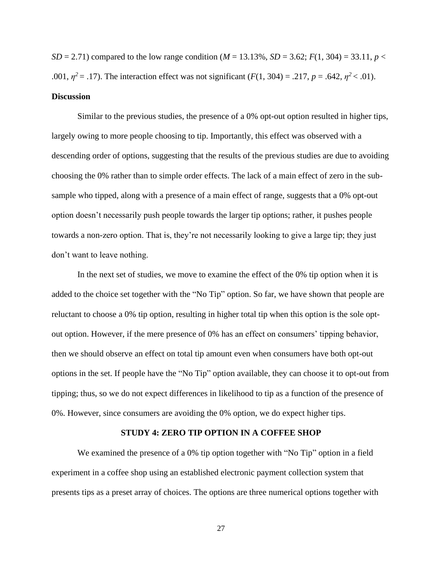*SD* = 2.71) compared to the low range condition (*M* = 13.13%, *SD* = 3.62; *F*(1, 304) = 33.11, *p* < .001,  $\eta^2 = .17$ ). The interaction effect was not significant ( $F(1, 304) = .217$ ,  $p = .642$ ,  $\eta^2 < .01$ ). **Discussion**

Similar to the previous studies, the presence of a 0% opt-out option resulted in higher tips, largely owing to more people choosing to tip. Importantly, this effect was observed with a descending order of options, suggesting that the results of the previous studies are due to avoiding choosing the 0% rather than to simple order effects. The lack of a main effect of zero in the subsample who tipped, along with a presence of a main effect of range, suggests that a 0% opt-out option doesn't necessarily push people towards the larger tip options; rather, it pushes people towards a non-zero option. That is, they're not necessarily looking to give a large tip; they just don't want to leave nothing.

In the next set of studies, we move to examine the effect of the 0% tip option when it is added to the choice set together with the "No Tip" option. So far, we have shown that people are reluctant to choose a 0% tip option, resulting in higher total tip when this option is the sole optout option. However, if the mere presence of 0% has an effect on consumers' tipping behavior, then we should observe an effect on total tip amount even when consumers have both opt-out options in the set. If people have the "No Tip" option available, they can choose it to opt-out from tipping; thus, so we do not expect differences in likelihood to tip as a function of the presence of 0%. However, since consumers are avoiding the 0% option, we do expect higher tips.

#### **STUDY 4: ZERO TIP OPTION IN A COFFEE SHOP**

We examined the presence of a 0% tip option together with "No Tip" option in a field experiment in a coffee shop using an established electronic payment collection system that presents tips as a preset array of choices. The options are three numerical options together with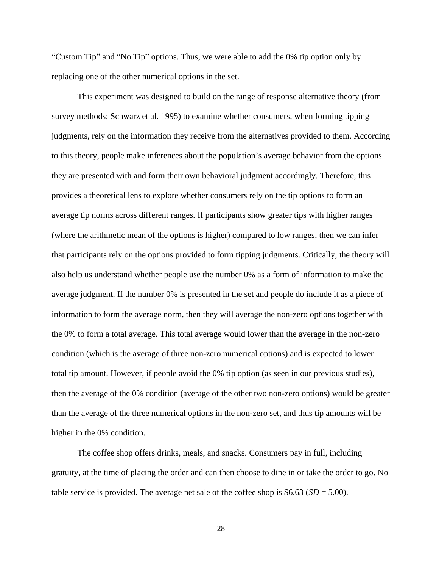"Custom Tip" and "No Tip" options. Thus, we were able to add the 0% tip option only by replacing one of the other numerical options in the set.

This experiment was designed to build on the range of response alternative theory (from survey methods; Schwarz et al. 1995) to examine whether consumers, when forming tipping judgments, rely on the information they receive from the alternatives provided to them. According to this theory, people make inferences about the population's average behavior from the options they are presented with and form their own behavioral judgment accordingly. Therefore, this provides a theoretical lens to explore whether consumers rely on the tip options to form an average tip norms across different ranges. If participants show greater tips with higher ranges (where the arithmetic mean of the options is higher) compared to low ranges, then we can infer that participants rely on the options provided to form tipping judgments. Critically, the theory will also help us understand whether people use the number 0% as a form of information to make the average judgment. If the number 0% is presented in the set and people do include it as a piece of information to form the average norm, then they will average the non-zero options together with the 0% to form a total average. This total average would lower than the average in the non-zero condition (which is the average of three non-zero numerical options) and is expected to lower total tip amount. However, if people avoid the 0% tip option (as seen in our previous studies), then the average of the 0% condition (average of the other two non-zero options) would be greater than the average of the three numerical options in the non-zero set, and thus tip amounts will be higher in the 0% condition.

The coffee shop offers drinks, meals, and snacks. Consumers pay in full, including gratuity, at the time of placing the order and can then choose to dine in or take the order to go. No table service is provided. The average net sale of the coffee shop is  $$6.63$  (*SD* = 5.00).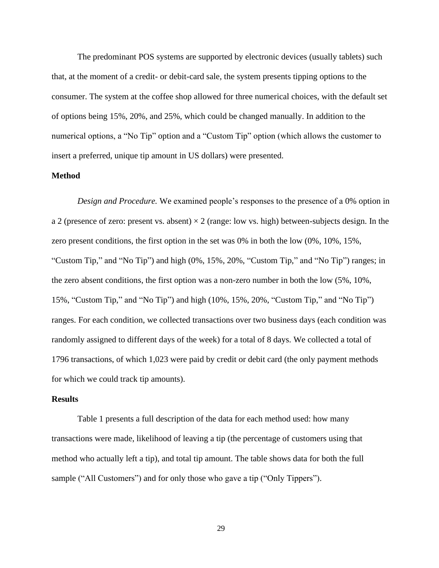The predominant POS systems are supported by electronic devices (usually tablets) such that, at the moment of a credit- or debit-card sale, the system presents tipping options to the consumer. The system at the coffee shop allowed for three numerical choices, with the default set of options being 15%, 20%, and 25%, which could be changed manually. In addition to the numerical options, a "No Tip" option and a "Custom Tip" option (which allows the customer to insert a preferred, unique tip amount in US dollars) were presented.

## **Method**

*Design and Procedure.* We examined people's responses to the presence of a 0% option in a 2 (presence of zero: present vs. absent)  $\times$  2 (range: low vs. high) between-subjects design. In the zero present conditions, the first option in the set was 0% in both the low (0%, 10%, 15%, "Custom Tip," and "No Tip") and high (0%, 15%, 20%, "Custom Tip," and "No Tip") ranges; in the zero absent conditions, the first option was a non-zero number in both the low (5%, 10%, 15%, "Custom Tip," and "No Tip") and high (10%, 15%, 20%, "Custom Tip," and "No Tip") ranges. For each condition, we collected transactions over two business days (each condition was randomly assigned to different days of the week) for a total of 8 days. We collected a total of 1796 transactions, of which 1,023 were paid by credit or debit card (the only payment methods for which we could track tip amounts).

# **Results**

Table 1 presents a full description of the data for each method used: how many transactions were made, likelihood of leaving a tip (the percentage of customers using that method who actually left a tip), and total tip amount. The table shows data for both the full sample ("All Customers") and for only those who gave a tip ("Only Tippers").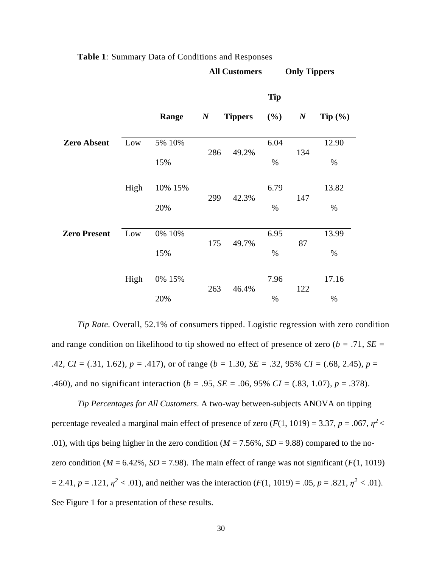|                     |      |                |                  |                | <b>Tip</b>   |                  |               |
|---------------------|------|----------------|------------------|----------------|--------------|------------------|---------------|
|                     |      | Range          | $\boldsymbol{N}$ | <b>Tippers</b> | (%)          | $\boldsymbol{N}$ | Tip $(\% )$   |
| <b>Zero Absent</b>  | Low  | 5% 10%         | 286              | 49.2%          | 6.04         | 134              | 12.90         |
|                     |      | 15%            |                  |                | $\%$         |                  | %             |
|                     | High | 10% 15%<br>20% | 299              | 42.3%          | 6.79<br>$\%$ | 147              | 13.82<br>$\%$ |
| <b>Zero Present</b> | Low  | 0% 10%         |                  |                | 6.95         |                  | 13.99         |
|                     |      | 15%            | 175              | 49.7%          | $\%$         | 87               | %             |
|                     | High | 0% 15%         | 263              | 46.4%          | 7.96         | 122              | 17.16         |
|                     |      | 20%            |                  |                | $\%$         |                  | $\%$          |

**All Customers Only Tippers**

#### **Table 1***:* Summary Data of Conditions and Responses

*Tip Rate.* Overall, 52.1% of consumers tipped. Logistic regression with zero condition and range condition on likelihood to tip showed no effect of presence of zero (*b =* .71*, SE =*  .42*, CI =* (.31, 1.62)*, p = .*417), or of range (*b =* 1.30*, SE =* .32, 95% *CI =* (.68, 2.45)*, p* = .460), and no significant interaction (*b =* .95*, SE =* .06, 95% *CI =* (.83, 1.07)*, p* = .378).

*Tip Percentages for All Customers*. A two-way between-subjects ANOVA on tipping percentage revealed a marginal main effect of presence of zero  $(F(1, 1019) = 3.37, p = .067, \eta^2$ .01), with tips being higher in the zero condition ( $M = 7.56\%$ ,  $SD = 9.88$ ) compared to the nozero condition ( $M = 6.42\%$ ,  $SD = 7.98$ ). The main effect of range was not significant ( $F(1, 1019)$ )  $= 2.41, p = .121, \eta^2 < .01$ , and neither was the interaction  $(F(1, 1019) = .05, p = .821, \eta^2 < .01)$ . See Figure 1 for a presentation of these results.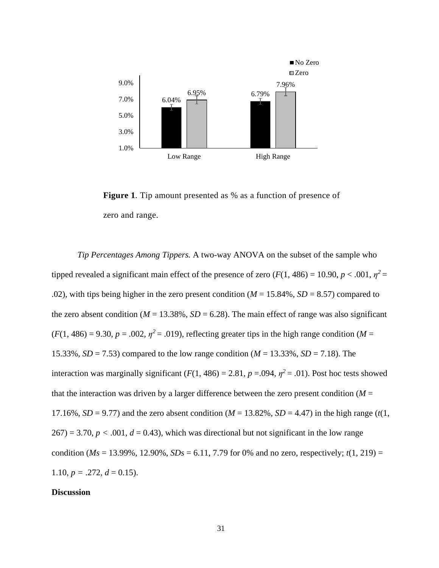

**Figure 1***.* Tip amount presented as % as a function of presence of zero and range.

*Tip Percentages Among Tippers.* A two-way ANOVA on the subset of the sample who tipped revealed a significant main effect of the presence of zero  $(F(1, 486) = 10.90, p < .001, \eta^2 =$ .02), with tips being higher in the zero present condition ( $M = 15.84\%$ ,  $SD = 8.57$ ) compared to the zero absent condition ( $M = 13.38\%$ ,  $SD = 6.28$ ). The main effect of range was also significant  $(F(1, 486) = 9.30, p = .002, \eta^2 = .019)$ , reflecting greater tips in the high range condition (*M* = 15.33%, *SD* = 7.53) compared to the low range condition (*M* = 13.33%, *SD* = 7.18). The interaction was marginally significant ( $F(1, 486) = 2.81$ ,  $p = .094$ ,  $\eta^2 = .01$ ). Post hoc tests showed that the interaction was driven by a larger difference between the zero present condition  $(M =$ 17.16%, *SD* = 9.77) and the zero absent condition ( $M = 13.82$ %, *SD* = 4.47) in the high range ( $t(1,$  $267$ ) = 3.70,  $p < .001$ ,  $d = 0.43$ ), which was directional but not significant in the low range condition ( $Ms = 13.99\%$ , 12.90%,  $SDs = 6.11$ , 7.79 for 0% and no zero, respectively;  $t(1, 219) =$ 1.10,  $p = .272$ ,  $d = 0.15$ ).

#### **Discussion**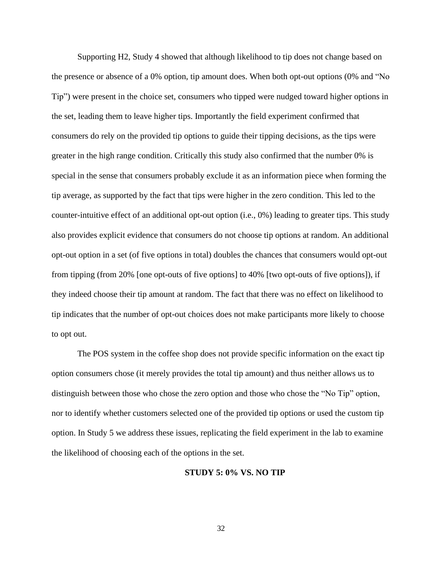Supporting H2, Study 4 showed that although likelihood to tip does not change based on the presence or absence of a 0% option, tip amount does. When both opt-out options (0% and "No Tip") were present in the choice set, consumers who tipped were nudged toward higher options in the set, leading them to leave higher tips. Importantly the field experiment confirmed that consumers do rely on the provided tip options to guide their tipping decisions, as the tips were greater in the high range condition. Critically this study also confirmed that the number 0% is special in the sense that consumers probably exclude it as an information piece when forming the tip average, as supported by the fact that tips were higher in the zero condition. This led to the counter-intuitive effect of an additional opt-out option (i.e., 0%) leading to greater tips. This study also provides explicit evidence that consumers do not choose tip options at random. An additional opt-out option in a set (of five options in total) doubles the chances that consumers would opt-out from tipping (from 20% [one opt-outs of five options] to 40% [two opt-outs of five options]), if they indeed choose their tip amount at random. The fact that there was no effect on likelihood to tip indicates that the number of opt-out choices does not make participants more likely to choose to opt out.

The POS system in the coffee shop does not provide specific information on the exact tip option consumers chose (it merely provides the total tip amount) and thus neither allows us to distinguish between those who chose the zero option and those who chose the "No Tip" option, nor to identify whether customers selected one of the provided tip options or used the custom tip option. In Study 5 we address these issues, replicating the field experiment in the lab to examine the likelihood of choosing each of the options in the set.

#### **STUDY 5: 0% VS. NO TIP**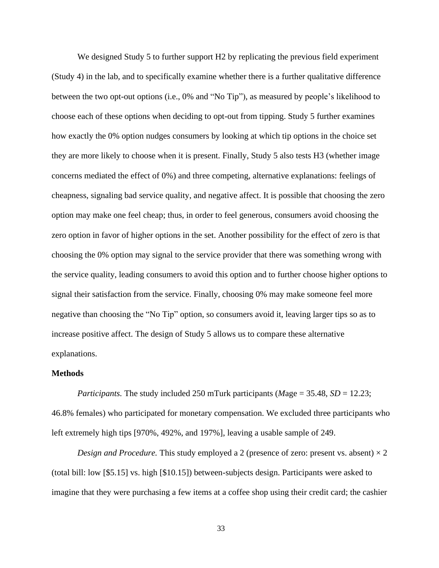We designed Study 5 to further support H<sub>2</sub> by replicating the previous field experiment (Study 4) in the lab, and to specifically examine whether there is a further qualitative difference between the two opt-out options (i.e., 0% and "No Tip"), as measured by people's likelihood to choose each of these options when deciding to opt-out from tipping. Study 5 further examines how exactly the 0% option nudges consumers by looking at which tip options in the choice set they are more likely to choose when it is present. Finally, Study 5 also tests H3 (whether image concerns mediated the effect of 0%) and three competing, alternative explanations: feelings of cheapness, signaling bad service quality, and negative affect. It is possible that choosing the zero option may make one feel cheap; thus, in order to feel generous, consumers avoid choosing the zero option in favor of higher options in the set. Another possibility for the effect of zero is that choosing the 0% option may signal to the service provider that there was something wrong with the service quality, leading consumers to avoid this option and to further choose higher options to signal their satisfaction from the service. Finally, choosing 0% may make someone feel more negative than choosing the "No Tip" option, so consumers avoid it, leaving larger tips so as to increase positive affect. The design of Study 5 allows us to compare these alternative explanations.

## **Methods**

*Participants.* The study included 250 mTurk participants (*M*age = 35.48, *SD* = 12.23; 46.8% females) who participated for monetary compensation. We excluded three participants who left extremely high tips [970%, 492%, and 197%], leaving a usable sample of 249.

*Design and Procedure.* This study employed a 2 (presence of zero: present vs. absent)  $\times$  2 (total bill: low [\$5.15] vs. high [\$10.15]) between-subjects design. Participants were asked to imagine that they were purchasing a few items at a coffee shop using their credit card; the cashier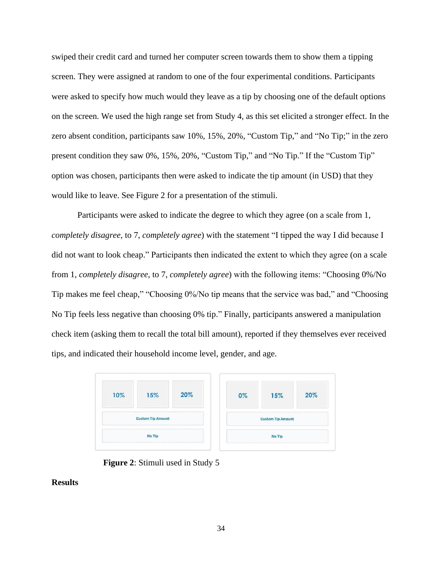swiped their credit card and turned her computer screen towards them to show them a tipping screen. They were assigned at random to one of the four experimental conditions. Participants were asked to specify how much would they leave as a tip by choosing one of the default options on the screen. We used the high range set from Study 4, as this set elicited a stronger effect. In the zero absent condition, participants saw 10%, 15%, 20%, "Custom Tip," and "No Tip;" in the zero present condition they saw 0%, 15%, 20%, "Custom Tip," and "No Tip." If the "Custom Tip" option was chosen, participants then were asked to indicate the tip amount (in USD) that they would like to leave. See Figure 2 for a presentation of the stimuli.

Participants were asked to indicate the degree to which they agree (on a scale from 1, *completely disagree*, to 7, *completely agree*) with the statement "I tipped the way I did because I did not want to look cheap." Participants then indicated the extent to which they agree (on a scale from 1, *completely disagree*, to 7, *completely agree*) with the following items: "Choosing 0%/No Tip makes me feel cheap," "Choosing 0%/No tip means that the service was bad," and "Choosing No Tip feels less negative than choosing 0% tip." Finally, participants answered a manipulation check item (asking them to recall the total bill amount), reported if they themselves ever received tips, and indicated their household income level, gender, and age.

| 10%                      | 15% | 20% | $0\%$                    | 15% | 20% |  |
|--------------------------|-----|-----|--------------------------|-----|-----|--|
|                          |     |     |                          |     |     |  |
| <b>Custom Tip Amount</b> |     |     | <b>Custom Tip Amount</b> |     |     |  |
| No Tip                   |     |     | No Tip                   |     |     |  |

**Figure 2**: Stimuli used in Study 5

# **Results**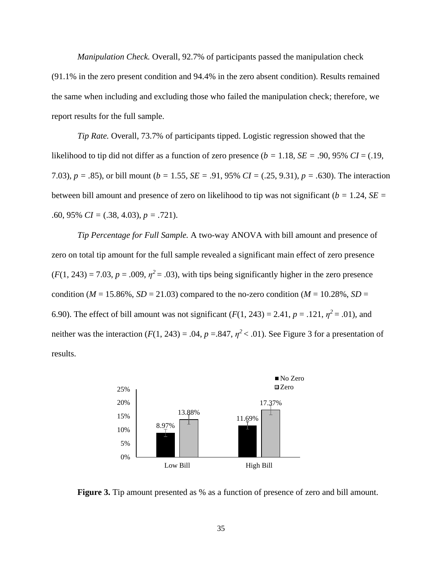*Manipulation Check.* Overall, 92.7% of participants passed the manipulation check (91.1% in the zero present condition and 94.4% in the zero absent condition). Results remained the same when including and excluding those who failed the manipulation check; therefore, we report results for the full sample.

*Tip Rate.* Overall, 73.7% of participants tipped. Logistic regression showed that the likelihood to tip did not differ as a function of zero presence  $(b = 1.18, SE = .90, 95\% CI = (.19,$ 7.03)*, p = .*85), or bill mount (*b =* 1.55*, SE =* .91, 95% *CI =* (.25, 9.31)*, p = .*630). The interaction between bill amount and presence of zero on likelihood to tip was not significant (*b =* 1.24*, SE =*  .60, 95% *CI =* (.38, 4.03), *p = .*721).

*Tip Percentage for Full Sample.* A two-way ANOVA with bill amount and presence of zero on total tip amount for the full sample revealed a significant main effect of zero presence  $(F(1, 243) = 7.03, p = .009, \eta^2 = .03)$ , with tips being significantly higher in the zero presence condition ( $M = 15.86\%$ ,  $SD = 21.03$ ) compared to the no-zero condition ( $M = 10.28\%$ ,  $SD =$ 6.90). The effect of bill amount was not significant  $(F(1, 243) = 2.41, p = .121, \eta^2 = .01)$ , and neither was the interaction  $(F(1, 243) = .04, p = .847, \eta^2 < .01)$ . See Figure 3 for a presentation of results.



**Figure 3.** Tip amount presented as % as a function of presence of zero and bill amount.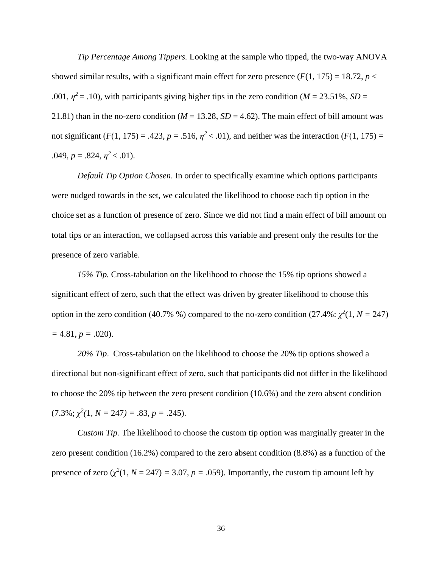*Tip Percentage Among Tippers.* Looking at the sample who tipped, the two-way ANOVA showed similar results, with a significant main effect for zero presence  $(F(1, 175) = 18.72, p <$ .001,  $\eta^2$  = .10), with participants giving higher tips in the zero condition (*M* = 23.51%, *SD* = 21.81) than in the no-zero condition ( $M = 13.28$ ,  $SD = 4.62$ ). The main effect of bill amount was not significant  $(F(1, 175) = .423, p = .516, \eta^2 < .01)$ , and neither was the interaction  $(F(1, 175) =$  $.049, p = .824, \eta^2 < .01$ .

*Default Tip Option Chosen*. In order to specifically examine which options participants were nudged towards in the set, we calculated the likelihood to choose each tip option in the choice set as a function of presence of zero. Since we did not find a main effect of bill amount on total tips or an interaction, we collapsed across this variable and present only the results for the presence of zero variable.

*15% Tip.* Cross-tabulation on the likelihood to choose the 15% tip options showed a significant effect of zero, such that the effect was driven by greater likelihood to choose this option in the zero condition (40.7% %) compared to the no-zero condition (27.4%:  $\chi^2(1, N = 247)$  $= 4.81, p = .020$ .

*20% Tip*. Cross-tabulation on the likelihood to choose the 20% tip options showed a directional but non-significant effect of zero, such that participants did not differ in the likelihood to choose the 20% tip between the zero present condition (10.6%) and the zero absent condition  $(7.3\%; \chi^2(1, N = 247) = .83, p = .245).$ 

*Custom Tip.* The likelihood to choose the custom tip option was marginally greater in the zero present condition (16.2%) compared to the zero absent condition (8.8%) as a function of the presence of zero  $(\chi^2(1, N = 247) = 3.07, p = .059)$ . Importantly, the custom tip amount left by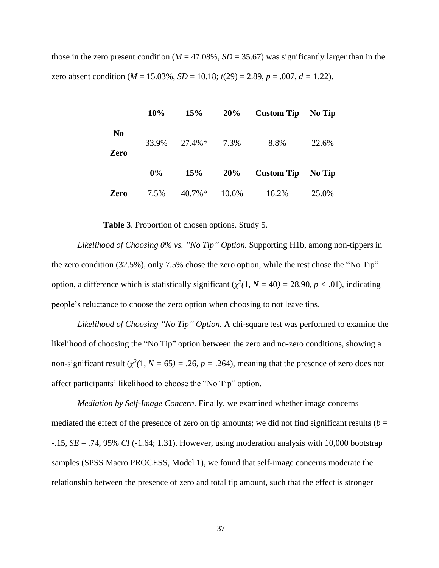those in the zero present condition ( $M = 47.08\%$ ,  $SD = 35.67$ ) was significantly larger than in the zero absent condition (*M* = 15.03%, *SD* = 10.18; *t*(29) = 2.89, *p* = .007, *d =* 1.22).

|            | 10%   | 15%       | 20%   | <b>Custom Tip</b> | No Tip |
|------------|-------|-----------|-------|-------------------|--------|
| No<br>Zero | 33.9% | $27.4\%*$ | 7.3%  | 8.8%              | 22.6%  |
|            | $0\%$ | 15%       | 20%   | <b>Custom Tip</b> | No Tip |
| Zero       | 7.5%  | $40.7\%*$ | 10.6% | 16.2%             | 25.0%  |

**Table 3**. Proportion of chosen options. Study 5.

*Likelihood of Choosing 0% vs. "No Tip" Option.* Supporting H1b, among non-tippers in the zero condition (32.5%), only 7.5% chose the zero option, while the rest chose the "No Tip" option, a difference which is statistically significant ( $\chi^2(1, N = 40) = 28.90, p < .01$ ), indicating people's reluctance to choose the zero option when choosing to not leave tips.

*Likelihood of Choosing "No Tip" Option.* A chi-square test was performed to examine the likelihood of choosing the "No Tip" option between the zero and no-zero conditions, showing a non-significant result  $(\chi^2(1, N = 65) = .26, p = .264)$ , meaning that the presence of zero does not affect participants' likelihood to choose the "No Tip" option.

*Mediation by Self-Image Concern.* Finally, we examined whether image concerns mediated the effect of the presence of zero on tip amounts; we did not find significant results ( $b =$ -.15, *SE* = .74, 95% *CI* (-1.64; 1.31). However, using moderation analysis with 10,000 bootstrap samples (SPSS Macro PROCESS, Model 1), we found that self-image concerns moderate the relationship between the presence of zero and total tip amount, such that the effect is stronger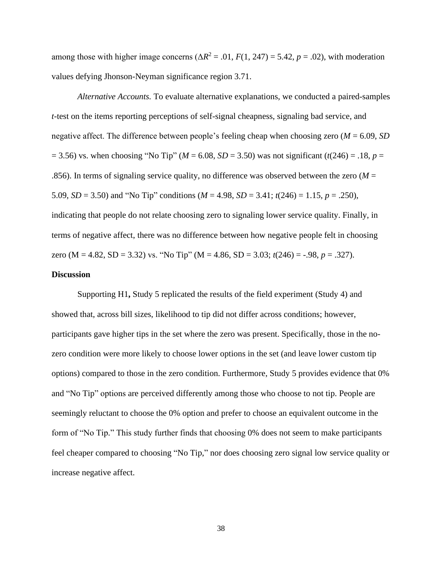among those with higher image concerns  $(\Delta R^2 = .01, F(1, 247) = 5.42, p = .02)$ , with moderation values defying Jhonson-Neyman significance region 3.71.

*Alternative Accounts.* To evaluate alternative explanations, we conducted a paired-samples *t*-test on the items reporting perceptions of self-signal cheapness, signaling bad service, and negative affect. The difference between people's feeling cheap when choosing zero (*M* = 6.09, *SD*  $(2.56)$  vs. when choosing "No Tip" ( $M = 6.08$ ,  $SD = 3.50$ ) was not significant ( $t(246) = .18$ ,  $p = 3.50$ ) .856). In terms of signaling service quality, no difference was observed between the zero  $(M =$ 5.09, *SD* = 3.50) and "No Tip" conditions (*M* = 4.98, *SD* = 3.41; *t*(246) = 1.15, *p* = .250), indicating that people do not relate choosing zero to signaling lower service quality. Finally, in terms of negative affect, there was no difference between how negative people felt in choosing zero (M = 4.82, SD = 3.32) vs. "No Tip" (M = 4.86, SD = 3.03;  $t(246) = -.98$ ,  $p = .327$ ).

## **Discussion**

Supporting H1**,** Study 5 replicated the results of the field experiment (Study 4) and showed that, across bill sizes, likelihood to tip did not differ across conditions; however, participants gave higher tips in the set where the zero was present. Specifically, those in the nozero condition were more likely to choose lower options in the set (and leave lower custom tip options) compared to those in the zero condition. Furthermore, Study 5 provides evidence that 0% and "No Tip" options are perceived differently among those who choose to not tip. People are seemingly reluctant to choose the 0% option and prefer to choose an equivalent outcome in the form of "No Tip." This study further finds that choosing 0% does not seem to make participants feel cheaper compared to choosing "No Tip," nor does choosing zero signal low service quality or increase negative affect.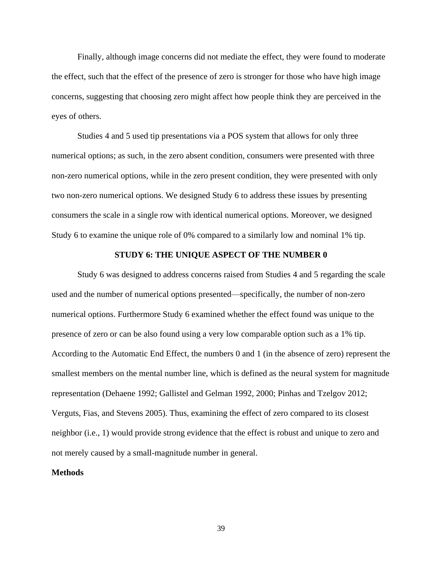Finally, although image concerns did not mediate the effect, they were found to moderate the effect, such that the effect of the presence of zero is stronger for those who have high image concerns, suggesting that choosing zero might affect how people think they are perceived in the eyes of others.

Studies 4 and 5 used tip presentations via a POS system that allows for only three numerical options; as such, in the zero absent condition, consumers were presented with three non-zero numerical options, while in the zero present condition, they were presented with only two non-zero numerical options. We designed Study 6 to address these issues by presenting consumers the scale in a single row with identical numerical options. Moreover, we designed Study 6 to examine the unique role of 0% compared to a similarly low and nominal 1% tip.

## **STUDY 6: THE UNIQUE ASPECT OF THE NUMBER 0**

Study 6 was designed to address concerns raised from Studies 4 and 5 regarding the scale used and the number of numerical options presented—specifically, the number of non-zero numerical options. Furthermore Study 6 examined whether the effect found was unique to the presence of zero or can be also found using a very low comparable option such as a 1% tip. According to the Automatic End Effect, the numbers 0 and 1 (in the absence of zero) represent the smallest members on the mental number line, which is defined as the neural system for magnitude representation (Dehaene 1992; Gallistel and Gelman 1992, 2000; Pinhas and Tzelgov 2012; Verguts, Fias, and Stevens 2005). Thus, examining the effect of zero compared to its closest neighbor (i.e., 1) would provide strong evidence that the effect is robust and unique to zero and not merely caused by a small-magnitude number in general.

#### **Methods**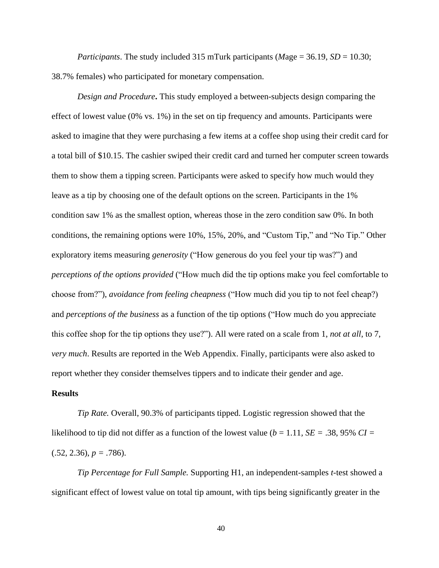*Participants*. The study included 315 mTurk participants (*M*age = 36.19, *SD* = 10.30; 38.7% females) who participated for monetary compensation.

*Design and Procedure***.** This study employed a between-subjects design comparing the effect of lowest value (0% vs. 1%) in the set on tip frequency and amounts. Participants were asked to imagine that they were purchasing a few items at a coffee shop using their credit card for a total bill of \$10.15. The cashier swiped their credit card and turned her computer screen towards them to show them a tipping screen. Participants were asked to specify how much would they leave as a tip by choosing one of the default options on the screen. Participants in the 1% condition saw 1% as the smallest option, whereas those in the zero condition saw 0%. In both conditions, the remaining options were 10%, 15%, 20%, and "Custom Tip," and "No Tip." Other exploratory items measuring *generosity* ("How generous do you feel your tip was?") and *perceptions of the options provided* ("How much did the tip options make you feel comfortable to choose from?"), *avoidance from feeling cheapness* ("How much did you tip to not feel cheap?) and *perceptions of the business* as a function of the tip options ("How much do you appreciate this coffee shop for the tip options they use?"). All were rated on a scale from 1, *not at all*, to 7, *very much*. Results are reported in the Web Appendix. Finally, participants were also asked to report whether they consider themselves tippers and to indicate their gender and age.

#### **Results**

*Tip Rate.* Overall, 90.3% of participants tipped. Logistic regression showed that the likelihood to tip did not differ as a function of the lowest value ( $b = 1.11$ ,  $SE = .38$ , 95%  $CI =$  $(.52, 2.36), p = .786$ .

*Tip Percentage for Full Sample.* Supporting H1, an independent-samples *t*-test showed a significant effect of lowest value on total tip amount, with tips being significantly greater in the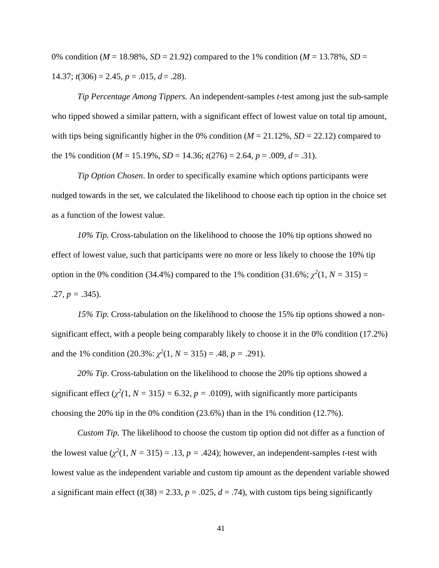0% condition ( $M = 18.98\%$ ,  $SD = 21.92$ ) compared to the 1% condition ( $M = 13.78\%$ ,  $SD =$ 14.37;  $t(306) = 2.45$ ,  $p = .015$ ,  $d = .28$ ).

*Tip Percentage Among Tippers.* An independent-samples *t*-test among just the sub-sample who tipped showed a similar pattern, with a significant effect of lowest value on total tip amount, with tips being significantly higher in the 0% condition ( $M = 21.12$ %,  $SD = 22.12$ ) compared to the 1% condition ( $M = 15.19\%$ ,  $SD = 14.36$ ;  $t(276) = 2.64$ ,  $p = .009$ ,  $d = .31$ ).

*Tip Option Chosen*. In order to specifically examine which options participants were nudged towards in the set, we calculated the likelihood to choose each tip option in the choice set as a function of the lowest value.

*10% Tip.* Cross-tabulation on the likelihood to choose the 10% tip options showed no effect of lowest value, such that participants were no more or less likely to choose the 10% tip option in the 0% condition (34.4%) compared to the 1% condition (31.6%;  $\chi^2(1, N = 315) =$ .27,  $p = .345$ ).

*15% Tip.* Cross-tabulation on the likelihood to choose the 15% tip options showed a nonsignificant effect, with a people being comparably likely to choose it in the 0% condition (17.2%) and the 1% condition  $(20.3\% : \chi^2(1, N = 315) = .48, p = .291)$ .

*20% Tip*. Cross-tabulation on the likelihood to choose the 20% tip options showed a significant effect  $(\chi^2(1, N = 315) = 6.32, p = .0109)$ , with significantly more participants choosing the 20% tip in the 0% condition (23.6%) than in the 1% condition (12.7%).

*Custom Tip.* The likelihood to choose the custom tip option did not differ as a function of the lowest value  $(\chi^2(1, N = 315) = .13, p = .424)$ ; however, an independent-samples *t*-test with lowest value as the independent variable and custom tip amount as the dependent variable showed a significant main effect  $(t(38) = 2.33, p = .025, d = .74)$ , with custom tips being significantly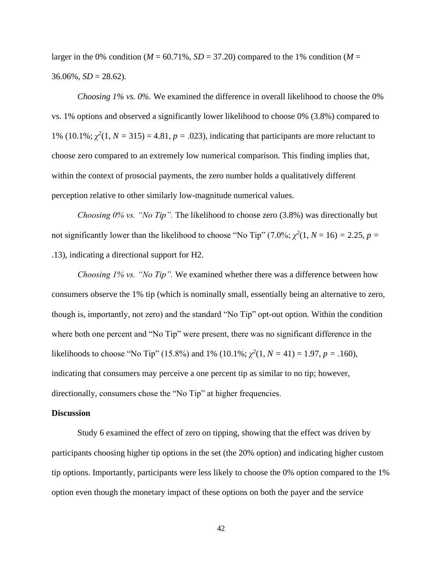larger in the 0% condition ( $M = 60.71\%$ ,  $SD = 37.20$ ) compared to the 1% condition ( $M =$  $36.06\%, SD = 28.62$ .

*Choosing 1% vs. 0%.* We examined the difference in overall likelihood to choose the 0% vs. 1% options and observed a significantly lower likelihood to choose 0% (3.8%) compared to 1% (10.1%;  $\chi^2(1, N = 315) = 4.81$ ,  $p = .023$ ), indicating that participants are more reluctant to choose zero compared to an extremely low numerical comparison. This finding implies that, within the context of prosocial payments, the zero number holds a qualitatively different perception relative to other similarly low-magnitude numerical values.

*Choosing 0% vs. "No Tip".* The likelihood to choose zero (3.8%) was directionally but not significantly lower than the likelihood to choose "No Tip" (7.0%;  $\chi^2(1, N = 16) = 2.25$ ,  $p =$ .13), indicating a directional support for H2.

*Choosing 1% vs. "No Tip".* We examined whether there was a difference between how consumers observe the 1% tip (which is nominally small, essentially being an alternative to zero, though is, importantly, not zero) and the standard "No Tip" opt-out option. Within the condition where both one percent and "No Tip" were present, there was no significant difference in the likelihoods to choose "No Tip" (15.8%) and 1% (10.1%;  $\chi^2(1, N = 41) = 1.97$ ,  $p = .160$ ), indicating that consumers may perceive a one percent tip as similar to no tip; however, directionally, consumers chose the "No Tip" at higher frequencies.

#### **Discussion**

Study 6 examined the effect of zero on tipping, showing that the effect was driven by participants choosing higher tip options in the set (the 20% option) and indicating higher custom tip options. Importantly, participants were less likely to choose the 0% option compared to the 1% option even though the monetary impact of these options on both the payer and the service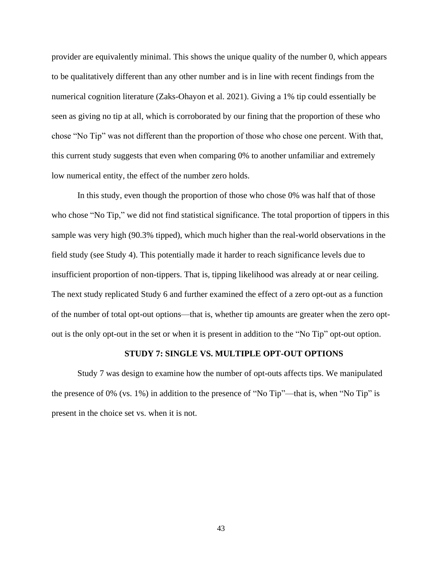provider are equivalently minimal. This shows the unique quality of the number 0, which appears to be qualitatively different than any other number and is in line with recent findings from the numerical cognition literature (Zaks-Ohayon et al. 2021). Giving a 1% tip could essentially be seen as giving no tip at all, which is corroborated by our fining that the proportion of these who chose "No Tip" was not different than the proportion of those who chose one percent. With that, this current study suggests that even when comparing 0% to another unfamiliar and extremely low numerical entity, the effect of the number zero holds.

In this study, even though the proportion of those who chose 0% was half that of those who chose "No Tip," we did not find statistical significance. The total proportion of tippers in this sample was very high (90.3% tipped), which much higher than the real-world observations in the field study (see Study 4). This potentially made it harder to reach significance levels due to insufficient proportion of non-tippers. That is, tipping likelihood was already at or near ceiling. The next study replicated Study 6 and further examined the effect of a zero opt-out as a function of the number of total opt-out options—that is, whether tip amounts are greater when the zero optout is the only opt-out in the set or when it is present in addition to the "No Tip" opt-out option.

#### **STUDY 7: SINGLE VS. MULTIPLE OPT-OUT OPTIONS**

Study 7 was design to examine how the number of opt-outs affects tips. We manipulated the presence of 0% (vs. 1%) in addition to the presence of "No Tip"—that is, when "No Tip" is present in the choice set vs. when it is not.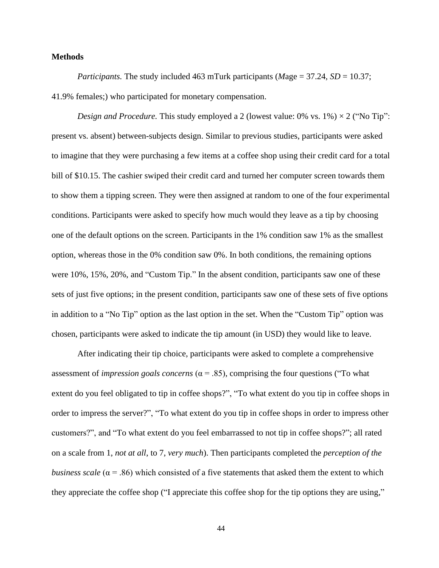## **Methods**

*Participants.* The study included 463 mTurk participants (*M*age = 37.24, *SD* = 10.37; 41.9% females;) who participated for monetary compensation.

*Design and Procedure.* This study employed a 2 (lowest value:  $0\%$  vs.  $1\%$ )  $\times$  2 ("No Tip": present vs. absent) between-subjects design. Similar to previous studies, participants were asked to imagine that they were purchasing a few items at a coffee shop using their credit card for a total bill of \$10.15. The cashier swiped their credit card and turned her computer screen towards them to show them a tipping screen. They were then assigned at random to one of the four experimental conditions. Participants were asked to specify how much would they leave as a tip by choosing one of the default options on the screen. Participants in the 1% condition saw 1% as the smallest option, whereas those in the 0% condition saw 0%. In both conditions, the remaining options were 10%, 15%, 20%, and "Custom Tip." In the absent condition, participants saw one of these sets of just five options; in the present condition, participants saw one of these sets of five options in addition to a "No Tip" option as the last option in the set. When the "Custom Tip" option was chosen, participants were asked to indicate the tip amount (in USD) they would like to leave.

After indicating their tip choice, participants were asked to complete a comprehensive assessment of *impression goals concerns* ( $\alpha$  = .85), comprising the four questions ("To what extent do you feel obligated to tip in coffee shops?", "To what extent do you tip in coffee shops in order to impress the server?", "To what extent do you tip in coffee shops in order to impress other customers?", and "To what extent do you feel embarrassed to not tip in coffee shops?"; all rated on a scale from 1, *not at all*, to 7, *very much*). Then participants completed the *perception of the business scale* ( $\alpha$  = .86) which consisted of a five statements that asked them the extent to which they appreciate the coffee shop ("I appreciate this coffee shop for the tip options they are using,"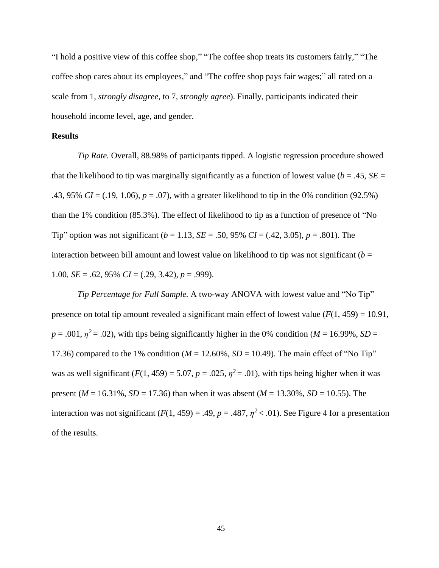"I hold a positive view of this coffee shop," "The coffee shop treats its customers fairly," "The coffee shop cares about its employees," and "The coffee shop pays fair wages;" all rated on a scale from 1, *strongly disagree*, to 7*, strongly agree*). Finally, participants indicated their household income level, age, and gender.

## **Results**

*Tip Rate.* Overall, 88.98% of participants tipped. A logistic regression procedure showed that the likelihood to tip was marginally significantly as a function of lowest value ( $b = .45$ ,  $SE =$ .43, 95% *CI* = (.19, 1.06), *p* = .07), with a greater likelihood to tip in the 0% condition (92.5%) than the 1% condition (85.3%). The effect of likelihood to tip as a function of presence of "No Tip" option was not significant (*b* = 1.13, *SE* = .50, 95% *CI* = (.42, 3.05), *p* = .801). The interaction between bill amount and lowest value on likelihood to tip was not significant  $(b =$ 1.00, *SE* = .62, 95% *CI* = (.29, 3.42), *p* = .999).

*Tip Percentage for Full Sample.* A two-way ANOVA with lowest value and "No Tip" presence on total tip amount revealed a significant main effect of lowest value  $(F(1, 459) = 10.91$ ,  $p = .001$ ,  $p^2 = .02$ ), with tips being significantly higher in the 0% condition (*M* = 16.99%, *SD* = 17.36) compared to the 1% condition  $(M = 12.60\%$ ,  $SD = 10.49)$ . The main effect of "No Tip" was as well significant  $(F(1, 459) = 5.07, p = .025, \eta^2 = .01)$ , with tips being higher when it was present (*M* = 16.31%, *SD* = 17.36) than when it was absent (*M* = 13.30%, *SD* = 10.55). The interaction was not significant  $(F(1, 459) = .49, p = .487, \eta^2 < .01)$ . See Figure 4 for a presentation of the results.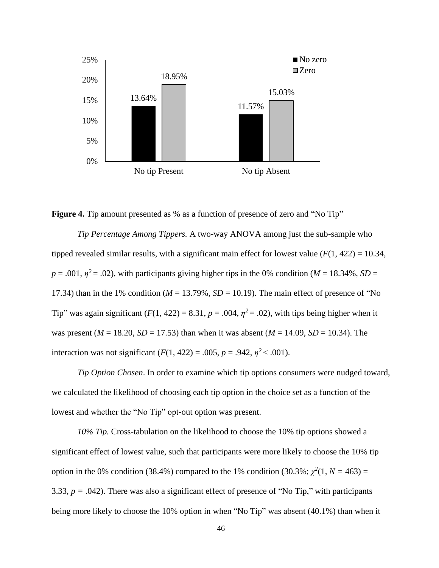



*Tip Percentage Among Tippers.* A two-way ANOVA among just the sub-sample who tipped revealed similar results, with a significant main effect for lowest value  $(F(1, 422) = 10.34$ ,  $p = .001$ ,  $p^2 = .02$ ), with participants giving higher tips in the 0% condition (*M* = 18.34%, *SD* = 17.34) than in the 1% condition ( $M = 13.79\%$ ,  $SD = 10.19$ ). The main effect of presence of "No Tip" was again significant  $(F(1, 422) = 8.31, p = .004, \eta^2 = .02)$ , with tips being higher when it was present ( $M = 18.20$ ,  $SD = 17.53$ ) than when it was absent ( $M = 14.09$ ,  $SD = 10.34$ ). The interaction was not significant  $(F(1, 422) = .005, p = .942, \eta^2 < .001)$ .

*Tip Option Chosen*. In order to examine which tip options consumers were nudged toward, we calculated the likelihood of choosing each tip option in the choice set as a function of the lowest and whether the "No Tip" opt-out option was present.

*10% Tip.* Cross-tabulation on the likelihood to choose the 10% tip options showed a significant effect of lowest value, such that participants were more likely to choose the 10% tip option in the 0% condition (38.4%) compared to the 1% condition (30.3%;  $\chi^2(1, N = 463)$  = 3.33,  $p = .042$ ). There was also a significant effect of presence of "No Tip," with participants being more likely to choose the 10% option in when "No Tip" was absent (40.1%) than when it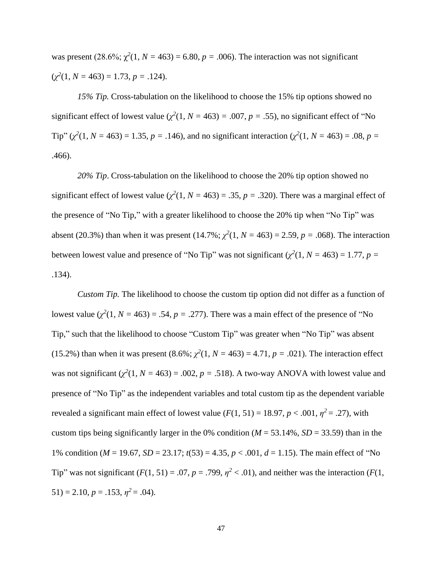was present (28.6%;  $\chi^2(1, N = 463) = 6.80$ ,  $p = .006$ ). The interaction was not significant  $(\chi^2(1, N = 463) = 1.73, p = .124).$ 

*15% Tip.* Cross-tabulation on the likelihood to choose the 15% tip options showed no significant effect of lowest value ( $\chi^2(1, N = 463) = .007$ ,  $p = .55$ ), no significant effect of "No Tip" ( $\chi^2(1, N = 463) = 1.35$ ,  $p = .146$ ), and no significant interaction ( $\chi^2(1, N = 463) = .08$ ,  $p =$ .466).

*20% Tip*. Cross-tabulation on the likelihood to choose the 20% tip option showed no significant effect of lowest value  $(\chi^2(1, N = 463) = .35, p = .320)$ . There was a marginal effect of the presence of "No Tip," with a greater likelihood to choose the 20% tip when "No Tip" was absent (20.3%) than when it was present (14.7%;  $\chi^2(1, N = 463) = 2.59$ ,  $p = .068$ ). The interaction between lowest value and presence of "No Tip" was not significant ( $\chi^2(1, N = 463) = 1.77$ ,  $p =$ .134).

*Custom Tip.* The likelihood to choose the custom tip option did not differ as a function of lowest value  $(\chi^2(1, N = 463) = .54, p = .277)$ . There was a main effect of the presence of "No Tip," such that the likelihood to choose "Custom Tip" was greater when "No Tip" was absent (15.2%) than when it was present  $(8.6\%; \chi^2(1, N = 463) = 4.71, p = .021)$ . The interaction effect was not significant  $(\chi^2(1, N = 463) = .002, p = .518)$ . A two-way ANOVA with lowest value and presence of "No Tip" as the independent variables and total custom tip as the dependent variable revealed a significant main effect of lowest value  $(F(1, 51) = 18.97, p < .001, \eta^2 = .27)$ , with custom tips being significantly larger in the 0% condition ( $M = 53.14$ %,  $SD = 33.59$ ) than in the 1% condition (*M* = 19.67, *SD* = 23.17; *t*(53) = 4.35, *p* < .001, *d* = 1.15). The main effect of "No Tip" was not significant  $(F(1, 51) = .07, p = .799, \eta^2 < .01)$ , and neither was the interaction  $(F(1, 51) = .07, p = .799, \eta^2 < .01)$  $51$ ) = 2.10,  $p = .153$ ,  $\eta^2 = .04$ ).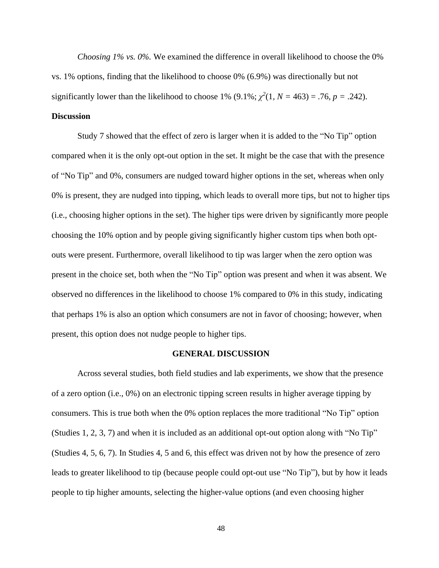*Choosing 1% vs. 0%.* We examined the difference in overall likelihood to choose the 0% vs. 1% options, finding that the likelihood to choose 0% (6.9%) was directionally but not significantly lower than the likelihood to choose 1% (9.1%;  $\chi^2(1, N = 463) = .76$ ,  $p = .242$ ).

# **Discussion**

Study 7 showed that the effect of zero is larger when it is added to the "No Tip" option compared when it is the only opt-out option in the set. It might be the case that with the presence of "No Tip" and 0%, consumers are nudged toward higher options in the set, whereas when only 0% is present, they are nudged into tipping, which leads to overall more tips, but not to higher tips (i.e., choosing higher options in the set). The higher tips were driven by significantly more people choosing the 10% option and by people giving significantly higher custom tips when both optouts were present. Furthermore, overall likelihood to tip was larger when the zero option was present in the choice set, both when the "No Tip" option was present and when it was absent. We observed no differences in the likelihood to choose 1% compared to 0% in this study, indicating that perhaps 1% is also an option which consumers are not in favor of choosing; however, when present, this option does not nudge people to higher tips.

#### **GENERAL DISCUSSION**

Across several studies, both field studies and lab experiments, we show that the presence of a zero option (i.e., 0%) on an electronic tipping screen results in higher average tipping by consumers. This is true both when the 0% option replaces the more traditional "No Tip" option (Studies 1, 2, 3, 7) and when it is included as an additional opt-out option along with "No Tip" (Studies 4, 5, 6, 7). In Studies 4, 5 and 6, this effect was driven not by how the presence of zero leads to greater likelihood to tip (because people could opt-out use "No Tip"), but by how it leads people to tip higher amounts, selecting the higher-value options (and even choosing higher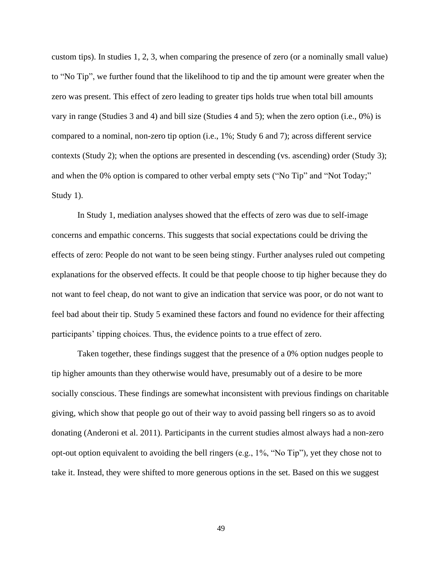custom tips). In studies 1, 2, 3, when comparing the presence of zero (or a nominally small value) to "No Tip", we further found that the likelihood to tip and the tip amount were greater when the zero was present. This effect of zero leading to greater tips holds true when total bill amounts vary in range (Studies 3 and 4) and bill size (Studies 4 and 5); when the zero option (i.e., 0%) is compared to a nominal, non-zero tip option (i.e., 1%; Study 6 and 7); across different service contexts (Study 2); when the options are presented in descending (vs. ascending) order (Study 3); and when the 0% option is compared to other verbal empty sets ("No Tip" and "Not Today;" Study 1).

In Study 1, mediation analyses showed that the effects of zero was due to self-image concerns and empathic concerns. This suggests that social expectations could be driving the effects of zero: People do not want to be seen being stingy. Further analyses ruled out competing explanations for the observed effects. It could be that people choose to tip higher because they do not want to feel cheap, do not want to give an indication that service was poor, or do not want to feel bad about their tip. Study 5 examined these factors and found no evidence for their affecting participants' tipping choices. Thus, the evidence points to a true effect of zero.

Taken together, these findings suggest that the presence of a 0% option nudges people to tip higher amounts than they otherwise would have, presumably out of a desire to be more socially conscious. These findings are somewhat inconsistent with previous findings on charitable giving, which show that people go out of their way to avoid passing bell ringers so as to avoid donating (Anderoni et al. 2011). Participants in the current studies almost always had a non-zero opt-out option equivalent to avoiding the bell ringers (e.g., 1%, "No Tip"), yet they chose not to take it. Instead, they were shifted to more generous options in the set. Based on this we suggest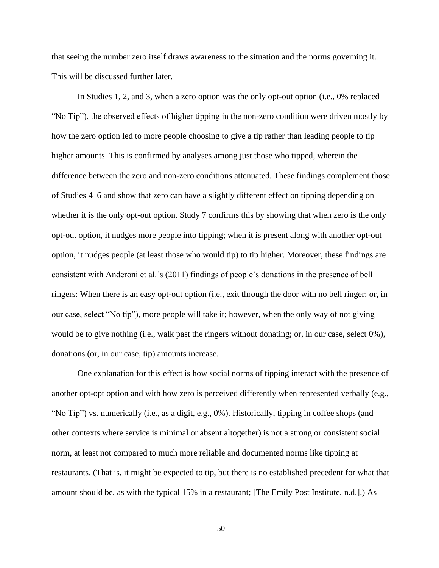that seeing the number zero itself draws awareness to the situation and the norms governing it. This will be discussed further later.

In Studies 1, 2, and 3, when a zero option was the only opt-out option (i.e., 0% replaced "No Tip"), the observed effects of higher tipping in the non-zero condition were driven mostly by how the zero option led to more people choosing to give a tip rather than leading people to tip higher amounts. This is confirmed by analyses among just those who tipped, wherein the difference between the zero and non-zero conditions attenuated. These findings complement those of Studies 4–6 and show that zero can have a slightly different effect on tipping depending on whether it is the only opt-out option. Study 7 confirms this by showing that when zero is the only opt-out option, it nudges more people into tipping; when it is present along with another opt-out option, it nudges people (at least those who would tip) to tip higher. Moreover, these findings are consistent with Anderoni et al.'s (2011) findings of people's donations in the presence of bell ringers: When there is an easy opt-out option (i.e., exit through the door with no bell ringer; or, in our case, select "No tip"), more people will take it; however, when the only way of not giving would be to give nothing (i.e., walk past the ringers without donating; or, in our case, select 0%), donations (or, in our case, tip) amounts increase.

One explanation for this effect is how social norms of tipping interact with the presence of another opt-opt option and with how zero is perceived differently when represented verbally (e.g., "No Tip") vs. numerically (i.e., as a digit, e.g., 0%). Historically, tipping in coffee shops (and other contexts where service is minimal or absent altogether) is not a strong or consistent social norm, at least not compared to much more reliable and documented norms like tipping at restaurants. (That is, it might be expected to tip, but there is no established precedent for what that amount should be, as with the typical 15% in a restaurant; [The Emily Post Institute, n.d.].) As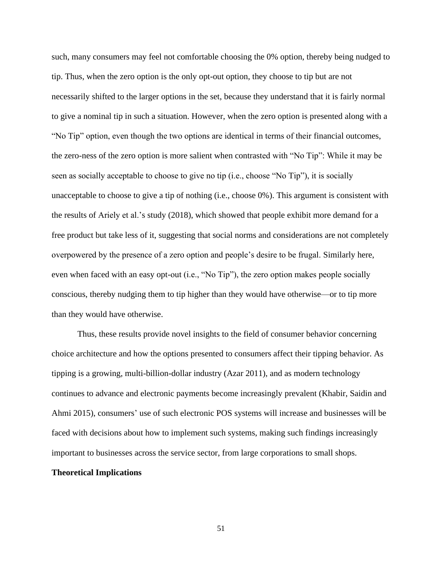such, many consumers may feel not comfortable choosing the 0% option, thereby being nudged to tip. Thus, when the zero option is the only opt-out option, they choose to tip but are not necessarily shifted to the larger options in the set, because they understand that it is fairly normal to give a nominal tip in such a situation. However, when the zero option is presented along with a "No Tip" option, even though the two options are identical in terms of their financial outcomes, the zero-ness of the zero option is more salient when contrasted with "No Tip": While it may be seen as socially acceptable to choose to give no tip (i.e., choose "No Tip"), it is socially unacceptable to choose to give a tip of nothing (i.e., choose 0%). This argument is consistent with the results of Ariely et al.'s study (2018), which showed that people exhibit more demand for a free product but take less of it, suggesting that social norms and considerations are not completely overpowered by the presence of a zero option and people's desire to be frugal. Similarly here, even when faced with an easy opt-out (i.e., "No Tip"), the zero option makes people socially conscious, thereby nudging them to tip higher than they would have otherwise—or to tip more than they would have otherwise.

Thus, these results provide novel insights to the field of consumer behavior concerning choice architecture and how the options presented to consumers affect their tipping behavior. As tipping is a growing, multi-billion-dollar industry (Azar 2011), and as modern technology continues to advance and electronic payments become increasingly prevalent (Khabir, Saidin and Ahmi 2015), consumers' use of such electronic POS systems will increase and businesses will be faced with decisions about how to implement such systems, making such findings increasingly important to businesses across the service sector, from large corporations to small shops.

# **Theoretical Implications**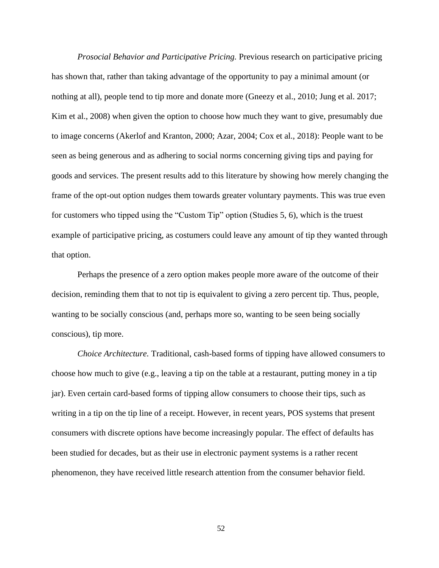*Prosocial Behavior and Participative Pricing.* Previous research on participative pricing has shown that, rather than taking advantage of the opportunity to pay a minimal amount (or nothing at all), people tend to tip more and donate more (Gneezy et al., 2010; Jung et al. 2017; Kim et al., 2008) when given the option to choose how much they want to give, presumably due to image concerns (Akerlof and Kranton, 2000; Azar, 2004; Cox et al., 2018): People want to be seen as being generous and as adhering to social norms concerning giving tips and paying for goods and services. The present results add to this literature by showing how merely changing the frame of the opt-out option nudges them towards greater voluntary payments. This was true even for customers who tipped using the "Custom Tip" option (Studies 5, 6), which is the truest example of participative pricing, as costumers could leave any amount of tip they wanted through that option.

Perhaps the presence of a zero option makes people more aware of the outcome of their decision, reminding them that to not tip is equivalent to giving a zero percent tip. Thus, people, wanting to be socially conscious (and, perhaps more so, wanting to be seen being socially conscious), tip more.

*Choice Architecture.* Traditional, cash-based forms of tipping have allowed consumers to choose how much to give (e.g., leaving a tip on the table at a restaurant, putting money in a tip jar). Even certain card-based forms of tipping allow consumers to choose their tips, such as writing in a tip on the tip line of a receipt. However, in recent years, POS systems that present consumers with discrete options have become increasingly popular. The effect of defaults has been studied for decades, but as their use in electronic payment systems is a rather recent phenomenon, they have received little research attention from the consumer behavior field.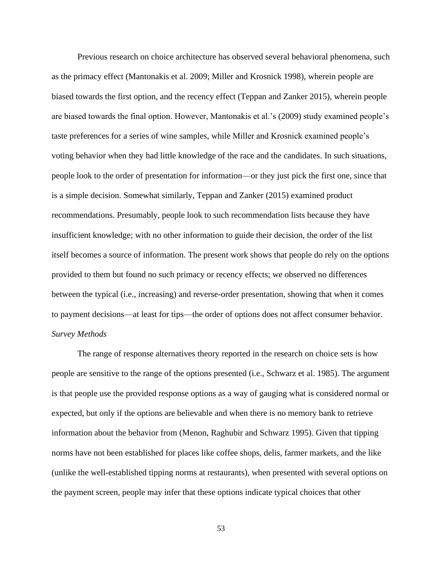Previous research on choice architecture has observed several behavioral phenomena, such as the primacy effect (Mantonakis et al. 2009; Miller and Krosnick 1998), wherein people are biased towards the first option, and the recency effect (Teppan and Zanker 2015), wherein people are biased towards the final option. However, Mantonakis et al.'s (2009) study examined people's taste preferences for a series of wine samples, while Miller and Krosnick examined people's voting behavior when they had little knowledge of the race and the candidates. In such situations, people look to the order of presentation for information—or they just pick the first one, since that is a simple decision. Somewhat similarly, Teppan and Zanker (2015) examined product recommendations. Presumably, people look to such recommendation lists because they have insufficient knowledge; with no other information to guide their decision, the order of the list itself becomes a source of information. The present work shows that people do rely on the options provided to them but found no such primacy or recency effects; we observed no differences between the typical (i.e., increasing) and reverse-order presentation, showing that when it comes to payment decisions—at least for tips—the order of options does not affect consumer behavior. *Survey Methods*

The range of response alternatives theory reported in the research on choice sets is how people are sensitive to the range of the options presented (i.e., Schwarz et al. 1985). The argument is that people use the provided response options as a way of gauging what is considered normal or expected, but only if the options are believable and when there is no memory bank to retrieve information about the behavior from (Menon, Raghubir and Schwarz 1995). Given that tipping norms have not been established for places like coffee shops, delis, farmer markets, and the like (unlike the well-established tipping norms at restaurants), when presented with several options on the payment screen, people may infer that these options indicate typical choices that other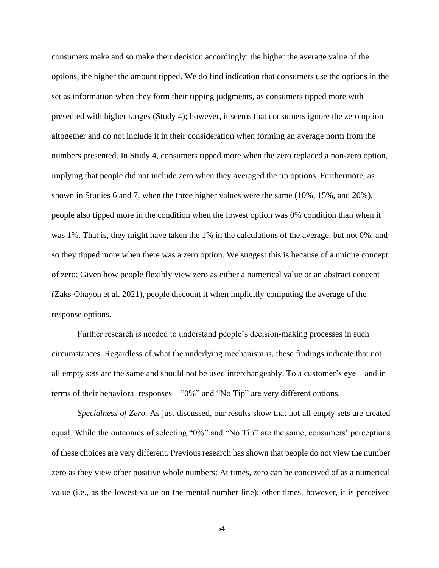consumers make and so make their decision accordingly: the higher the average value of the options, the higher the amount tipped. We do find indication that consumers use the options in the set as information when they form their tipping judgments, as consumers tipped more with presented with higher ranges (Study 4); however, it seems that consumers ignore the zero option altogether and do not include it in their consideration when forming an average norm from the numbers presented. In Study 4, consumers tipped more when the zero replaced a non-zero option, implying that people did not include zero when they averaged the tip options. Furthermore, as shown in Studies 6 and 7, when the three higher values were the same (10%, 15%, and 20%), people also tipped more in the condition when the lowest option was 0% condition than when it was 1%. That is, they might have taken the 1% in the calculations of the average, but not 0%, and so they tipped more when there was a zero option. We suggest this is because of a unique concept of zero: Given how people flexibly view zero as either a numerical value or an abstract concept (Zaks-Ohayon et al. 2021), people discount it when implicitly computing the average of the response options.

Further research is needed to understand people's decision-making processes in such circumstances. Regardless of what the underlying mechanism is, these findings indicate that not all empty sets are the same and should not be used interchangeably. To a customer's eye—and in terms of their behavioral responses—"0%" and "No Tip" are very different options.

*Specialness of Zero.* As just discussed, our results show that not all empty sets are created equal. While the outcomes of selecting "0%" and "No Tip" are the same, consumers' perceptions of these choices are very different. Previous research has shown that people do not view the number zero as they view other positive whole numbers: At times, zero can be conceived of as a numerical value (i.e., as the lowest value on the mental number line); other times, however, it is perceived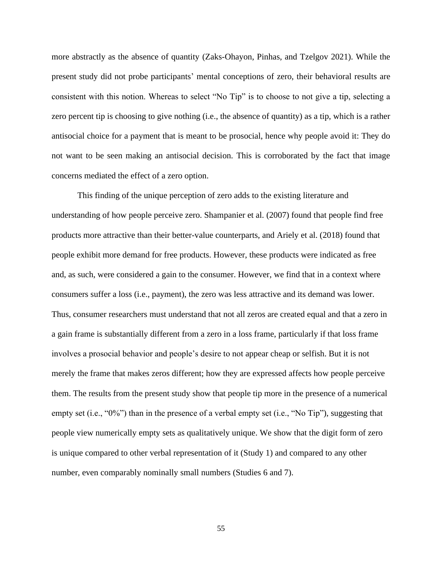more abstractly as the absence of quantity (Zaks-Ohayon, Pinhas, and Tzelgov 2021). While the present study did not probe participants' mental conceptions of zero, their behavioral results are consistent with this notion. Whereas to select "No Tip" is to choose to not give a tip, selecting a zero percent tip is choosing to give nothing (i.e., the absence of quantity) as a tip, which is a rather antisocial choice for a payment that is meant to be prosocial, hence why people avoid it: They do not want to be seen making an antisocial decision. This is corroborated by the fact that image concerns mediated the effect of a zero option.

This finding of the unique perception of zero adds to the existing literature and understanding of how people perceive zero. Shampanier et al. (2007) found that people find free products more attractive than their better-value counterparts, and Ariely et al. (2018) found that people exhibit more demand for free products. However, these products were indicated as free and, as such, were considered a gain to the consumer. However, we find that in a context where consumers suffer a loss (i.e., payment), the zero was less attractive and its demand was lower. Thus, consumer researchers must understand that not all zeros are created equal and that a zero in a gain frame is substantially different from a zero in a loss frame, particularly if that loss frame involves a prosocial behavior and people's desire to not appear cheap or selfish. But it is not merely the frame that makes zeros different; how they are expressed affects how people perceive them. The results from the present study show that people tip more in the presence of a numerical empty set (i.e., "0%") than in the presence of a verbal empty set (i.e., "No Tip"), suggesting that people view numerically empty sets as qualitatively unique. We show that the digit form of zero is unique compared to other verbal representation of it (Study 1) and compared to any other number, even comparably nominally small numbers (Studies 6 and 7).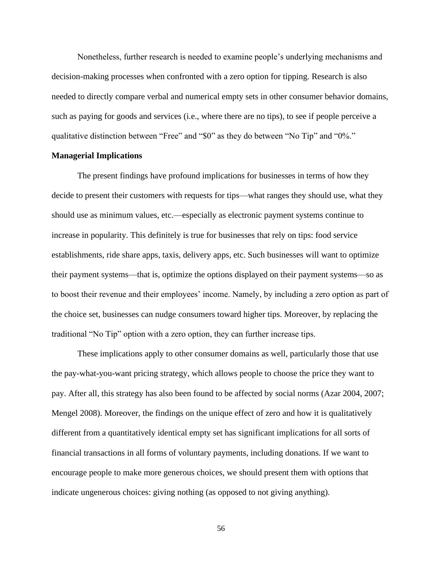Nonetheless, further research is needed to examine people's underlying mechanisms and decision-making processes when confronted with a zero option for tipping. Research is also needed to directly compare verbal and numerical empty sets in other consumer behavior domains, such as paying for goods and services (i.e., where there are no tips), to see if people perceive a qualitative distinction between "Free" and "\$0" as they do between "No Tip" and "0%."

## **Managerial Implications**

The present findings have profound implications for businesses in terms of how they decide to present their customers with requests for tips—what ranges they should use, what they should use as minimum values, etc.—especially as electronic payment systems continue to increase in popularity. This definitely is true for businesses that rely on tips: food service establishments, ride share apps, taxis, delivery apps, etc. Such businesses will want to optimize their payment systems—that is, optimize the options displayed on their payment systems—so as to boost their revenue and their employees' income. Namely, by including a zero option as part of the choice set, businesses can nudge consumers toward higher tips. Moreover, by replacing the traditional "No Tip" option with a zero option, they can further increase tips.

These implications apply to other consumer domains as well, particularly those that use the pay-what-you-want pricing strategy, which allows people to choose the price they want to pay. After all, this strategy has also been found to be affected by social norms (Azar 2004, 2007; Mengel 2008). Moreover, the findings on the unique effect of zero and how it is qualitatively different from a quantitatively identical empty set has significant implications for all sorts of financial transactions in all forms of voluntary payments, including donations. If we want to encourage people to make more generous choices, we should present them with options that indicate ungenerous choices: giving nothing (as opposed to not giving anything).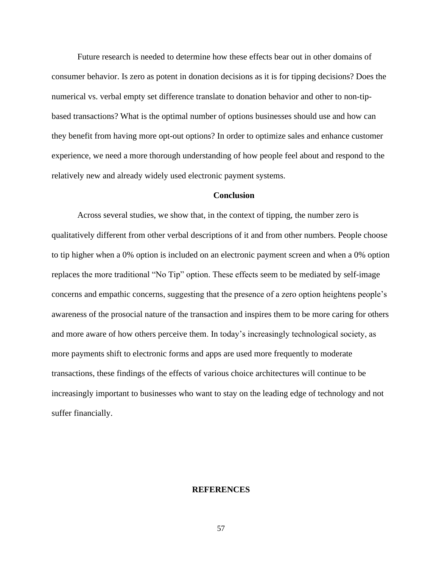Future research is needed to determine how these effects bear out in other domains of consumer behavior. Is zero as potent in donation decisions as it is for tipping decisions? Does the numerical vs. verbal empty set difference translate to donation behavior and other to non-tipbased transactions? What is the optimal number of options businesses should use and how can they benefit from having more opt-out options? In order to optimize sales and enhance customer experience, we need a more thorough understanding of how people feel about and respond to the relatively new and already widely used electronic payment systems.

#### **Conclusion**

Across several studies, we show that, in the context of tipping, the number zero is qualitatively different from other verbal descriptions of it and from other numbers. People choose to tip higher when a 0% option is included on an electronic payment screen and when a 0% option replaces the more traditional "No Tip" option. These effects seem to be mediated by self-image concerns and empathic concerns, suggesting that the presence of a zero option heightens people's awareness of the prosocial nature of the transaction and inspires them to be more caring for others and more aware of how others perceive them. In today's increasingly technological society, as more payments shift to electronic forms and apps are used more frequently to moderate transactions, these findings of the effects of various choice architectures will continue to be increasingly important to businesses who want to stay on the leading edge of technology and not suffer financially.

# **REFERENCES**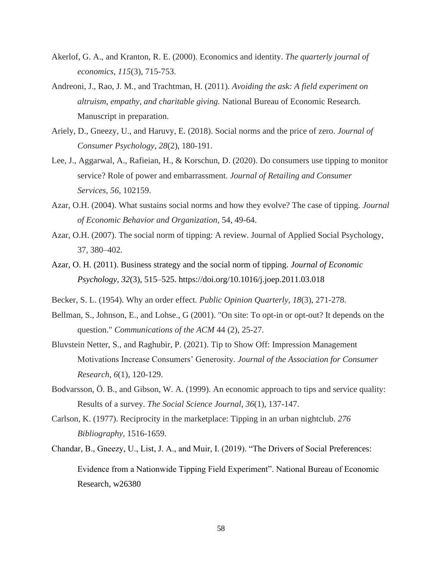- Akerlof, G. A., and Kranton, R. E. (2000). Economics and identity. *The quarterly journal of economics*, *115*(3), 715-753.
- Andreoni, J., Rao, J. M., and Trachtman, H. (2011). *Avoiding the ask: A field experiment on altruism, empathy, and charitable giving.* National Bureau of Economic Research. Manuscript in preparation.
- Ariely, D., Gneezy, U., and Haruvy, E. (2018). Social norms and the price of zero. *Journal of Consumer Psychology*, *28*(2), 180-191.
- Lee, J., Aggarwal, A., Rafieian, H., & Korschun, D. (2020). Do consumers use tipping to monitor service? Role of power and embarrassment. *Journal of Retailing and Consumer Services*, *56*, 102159.
- Azar, O.H. (2004). What sustains social norms and how they evolve? The case of tipping. *Journal of Economic Behavior and Organization*, 54, 49-64.
- Azar, O.H. (2007). The social norm of tipping: A review. Journal of Applied Social Psychology, 37, 380–402.
- Azar, O. H. (2011). Business strategy and the social norm of tipping. *Journal of Economic Psychology, 32*(3), 515–525. https://doi.org/10.1016/j.joep.2011.03.018
- Becker, S. L. (1954). Why an order effect. *Public Opinion Quarterly*, *18*(3), 271-278.
- Bellman, S., Johnson, E., and Lohse., G (2001). "On site: To opt-in or opt-out? It depends on the question." *Communications of the ACM* 44 (2), 25-27.
- Bluvstein Netter, S., and Raghubir, P. (2021). Tip to Show Off: Impression Management Motivations Increase Consumers' Generosity. *Journal of the Association for Consumer Research*, *6*(1), 120-129.
- Bodvarsson, Ö. B., and Gibson, W. A. (1999). An economic approach to tips and service quality: Results of a survey. *The Social Science Journal*, *36*(1), 137-147.
- Carlson, K. (1977). Reciprocity in the marketplace: Tipping in an urban nightclub. *276 Bibliography*, 1516-1659.
- Chandar, B., Gneezy, U., List, J. A., and Muir, I. (2019). "The Drivers of Social Preferences: Evidence from a Nationwide Tipping Field Experiment". National Bureau of Economic Research, w26380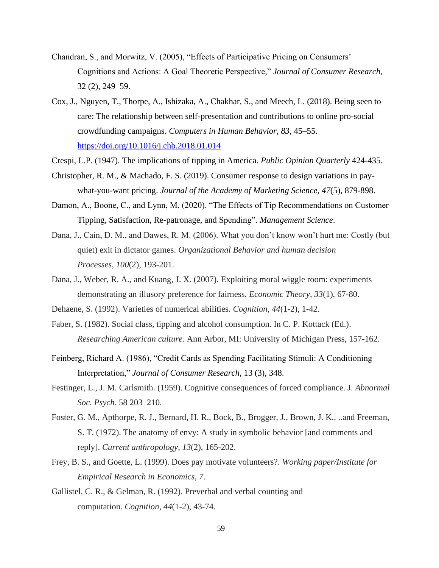- Chandran, S., and Morwitz, V. (2005), "Effects of Participative Pricing on Consumers' Cognitions and Actions: A Goal Theoretic Perspective," *Journal of Consumer Research*, 32 (2), 249–59.
- Cox, J., Nguyen, T., Thorpe, A., Ishizaka, A., Chakhar, S., and Meech, L. (2018). Being seen to care: The relationship between self-presentation and contributions to online pro-social crowdfunding campaigns. *Computers in Human Behavior, 83*, 45–55. <https://doi.org/10.1016/j.chb.2018.01.014>
- Crespi, L.P. (1947). The implications of tipping in America. *Public Opinion Quarterly* 424-435.
- Christopher, R. M., & Machado, F. S. (2019). Consumer response to design variations in paywhat-you-want pricing. *Journal of the Academy of Marketing Science*, *47*(5), 879-898.
- Damon, A., Boone, C., and Lynn, M. (2020). "The Effects of Tip Recommendations on Customer Tipping, Satisfaction, Re-patronage, and Spending". *Management Science*.
- Dana, J., Cain, D. M., and Dawes, R. M. (2006). What you don't know won't hurt me: Costly (but quiet) exit in dictator games. *Organizational Behavior and human decision Processes*, *100*(2), 193-201.
- Dana, J., Weber, R. A., and Kuang, J. X. (2007). Exploiting moral wiggle room: experiments demonstrating an illusory preference for fairness. *Economic Theory*, *33*(1), 67-80.
- Dehaene, S. (1992). Varieties of numerical abilities. *Cognition*, *44*(1-2), 1-42.
- Faber, S. (1982). Social class, tipping and alcohol consumption. In C. P. Kottack (Ed.). *Researching American culture.* Ann Arbor, MI: University of Michigan Press, 157-162.
- Feinberg, Richard A. (1986), "Credit Cards as Spending Facilitating Stimuli: A Conditioning Interpretation," *Journal of Consumer Research*, 13 (3), 348.
- Festinger, L., J. M. Carlsmith. (1959). Cognitive consequences of forced compliance. J. *Abnormal Soc. Psych*. 58 203–210.
- Foster, G. M., Apthorpe, R. J., Bernard, H. R., Bock, B., Brogger, J., Brown, J. K., ..and Freeman, S. T. (1972). The anatomy of envy: A study in symbolic behavior [and comments and reply]. *Current anthropology*, *13*(2), 165-202.
- Frey, B. S., and Goette, L. (1999). Does pay motivate volunteers?. *Working paper/Institute for Empirical Research in Economics*, *7*.
- Gallistel, C. R., & Gelman, R. (1992). Preverbal and verbal counting and computation. *Cognition*, *44*(1-2), 43-74.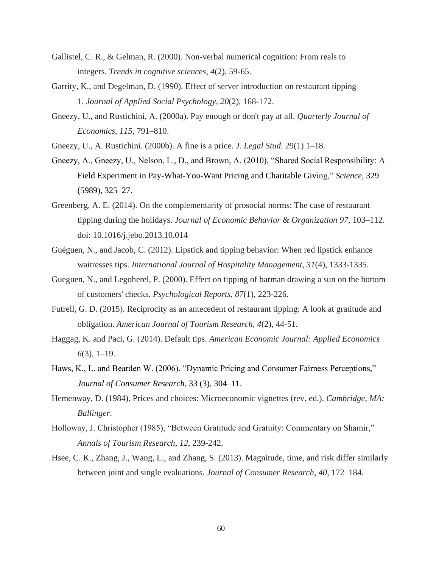- Gallistel, C. R., & Gelman, R. (2000). Non-verbal numerical cognition: From reals to integers. *Trends in cognitive sciences*, *4*(2), 59-65.
- Garrity, K., and Degelman, D. (1990). Effect of server introduction on restaurant tipping 1. *Journal of Applied Social Psychology*, *20*(2), 168-172.
- Gneezy, U., and Rustichini, A. (2000a). Pay enough or don't pay at all. *Quarterly Journal of Economics*, *115*, 791–810.
- Gneezy, U., A. Rustichini. (2000b). A fine is a price. *J. Legal Stud*. 29(1) 1–18.
- Gneezy, A., Gneezy, U., Nelson, L., D., and Brown, A. (2010), "Shared Social Responsibility: A Field Experiment in Pay-What-You-Want Pricing and Charitable Giving," *Science*, 329 (5989), 325–27.
- Greenberg, A. E. (2014). On the complementarity of prosocial norms: The case of restaurant tipping during the holidays. *Journal of Economic Behavior & Organization 97,* 103–112. doi: 10.1016/j.jebo.2013.10.014
- Guéguen, N., and Jacob, C. (2012). Lipstick and tipping behavior: When red lipstick enhance waitresses tips. *International Journal of Hospitality Management*, *31*(4), 1333-1335.
- Gueguen, N., and Legoherel, P. (2000). Effect on tipping of barman drawing a sun on the bottom of customers' checks. *Psychological Reports*, *87*(1), 223-226.
- Futrell, G. D. (2015). Reciprocity as an antecedent of restaurant tipping: A look at gratitude and obligation. *American Journal of Tourism Research*, *4*(2), 44-51.
- Haggag, K. and Paci, G. (2014). Default tips. *American Economic Journal: Applied Economics 6*(3), 1–19.
- Haws, K., L. and Bearden W. (2006). "Dynamic Pricing and Consumer Fairness Perceptions," *Journal of Consumer Research*, 33 (3), 304–11.
- Hemenway, D. (1984). Prices and choices: Microeconomic vignettes (rev. ed.). *Cambridge, MA: Ballinger*.
- Holloway, J. Christopher (1985), "Between Gratitude and Gratuity: Commentary on Shamir," *Annals of Tourism Research*, *12*, 239-242.
- Hsee, C. K., Zhang, J., Wang, L., and Zhang, S. (2013). Magnitude, time, and risk differ similarly between joint and single evaluations. *Journal of Consumer Research*, *40*, 172–184.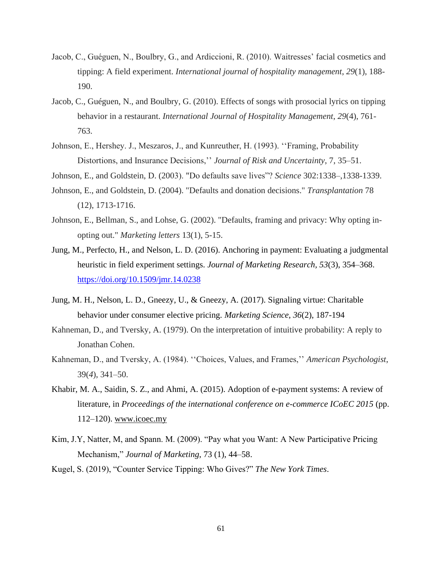- Jacob, C., Guéguen, N., Boulbry, G., and Ardiccioni, R. (2010). Waitresses' facial cosmetics and tipping: A field experiment. *International journal of hospitality management*, *29*(1), 188- 190.
- Jacob, C., Guéguen, N., and Boulbry, G. (2010). Effects of songs with prosocial lyrics on tipping behavior in a restaurant. *International Journal of Hospitality Management*, *29*(4), 761- 763.
- Johnson, E., Hershey. J., Meszaros, J., and Kunreuther, H. (1993). ''Framing, Probability Distortions, and Insurance Decisions,'' *Journal of Risk and Uncertainty*, 7, 35–51.
- Johnson, E., and Goldstein, D. (2003). "Do defaults save lives"? *Science* 302:1338–,1338-1339.
- Johnson, E., and Goldstein, D. (2004). "Defaults and donation decisions." *Transplantation* 78 (12), 1713-1716.
- Johnson, E., Bellman, S., and Lohse, G. (2002). "Defaults, framing and privacy: Why opting inopting out." *Marketing letters* 13(1), 5-15.
- Jung, M., Perfecto, H., and Nelson, L. D. (2016). Anchoring in payment: Evaluating a judgmental heuristic in field experiment settings. *Journal of Marketing Research, 53*(3), 354–368. <https://doi.org/10.1509/jmr.14.0238>
- Jung, M. H., Nelson, L. D., Gneezy, U., & Gneezy, A. (2017). Signaling virtue: Charitable behavior under consumer elective pricing. *Marketing Science*, *36*(2), 187-194
- Kahneman, D., and Tversky, A. (1979). On the interpretation of intuitive probability: A reply to Jonathan Cohen.
- Kahneman, D., and Tversky, A. (1984). ''Choices, Values, and Frames,'' *American Psychologist*, 39(*4*), 341–50.
- Khabir, M. A., Saidin, S. Z., and Ahmi, A. (2015). Adoption of e-payment systems: A review of literature, in *Proceedings of the international conference on e-commerce ICoEC 2015* (pp. 112–120). [www.icoec.my](http://www.icoec.my/)
- Kim, J.Y, Natter, M, and Spann. M. (2009). "Pay what you Want: A New Participative Pricing Mechanism," *Journal of Marketing*, 73 (1), 44–58.
- Kugel, S. (2019), "Counter Service Tipping: Who Gives?" *The New York Times*.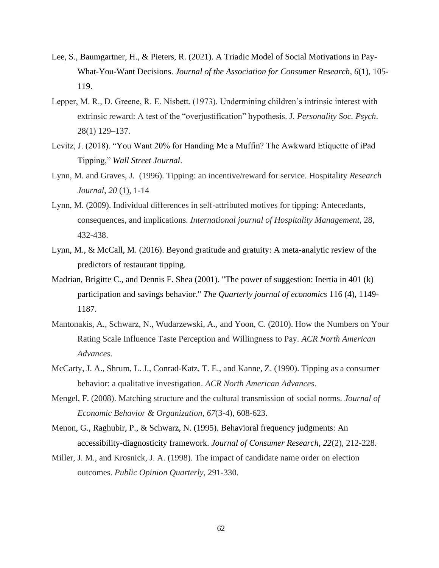- Lee, S., Baumgartner, H., & Pieters, R. (2021). A Triadic Model of Social Motivations in Pay-What-You-Want Decisions. *Journal of the Association for Consumer Research*, *6*(1), 105- 119.
- Lepper, M. R., D. Greene, R. E. Nisbett. (1973). Undermining children's intrinsic interest with extrinsic reward: A test of the "overjustification" hypothesis. J. *Personality Soc. Psych*. 28(1) 129–137.
- Levitz, J. (2018). "You Want 20% for Handing Me a Muffin? The Awkward Etiquette of iPad Tipping," *Wall Street Journal*.
- Lynn, M. and Graves, J. (1996). Tipping: an incentive/reward for service. Hospitality *Research Journal*, *20* (1), 1-14
- Lynn, M. (2009). Individual differences in self-attributed motives for tipping: Antecedants, consequences, and implications*. International journal of Hospitality Management*, 28, 432-438.
- Lynn, M., & McCall, M. (2016). Beyond gratitude and gratuity: A meta-analytic review of the predictors of restaurant tipping.
- Madrian, Brigitte C., and Dennis F. Shea (2001). "The power of suggestion: Inertia in 401 (k) participation and savings behavior." *The Quarterly journal of economics* 116 (4), 1149- 1187.
- Mantonakis, A., Schwarz, N., Wudarzewski, A., and Yoon, C. (2010). How the Numbers on Your Rating Scale Influence Taste Perception and Willingness to Pay. *ACR North American Advances*.
- McCarty, J. A., Shrum, L. J., Conrad-Katz, T. E., and Kanne, Z. (1990). Tipping as a consumer behavior: a qualitative investigation. *ACR North American Advances*.
- Mengel, F. (2008). Matching structure and the cultural transmission of social norms. *Journal of Economic Behavior & Organization*, *67*(3-4), 608-623.
- Menon, G., Raghubir, P., & Schwarz, N. (1995). Behavioral frequency judgments: An accessibility-diagnosticity framework. *Journal of Consumer Research*, *22*(2), 212-228.
- Miller, J. M., and Krosnick, J. A. (1998). The impact of candidate name order on election outcomes. *Public Opinion Quarterly*, 291-330.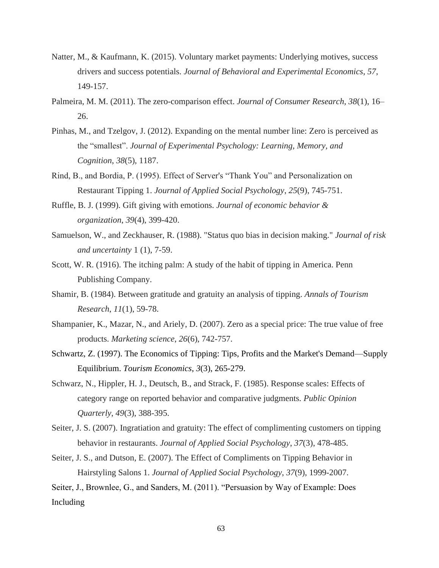- Natter, M., & Kaufmann, K. (2015). Voluntary market payments: Underlying motives, success drivers and success potentials. *Journal of Behavioral and Experimental Economics*, *57*, 149-157.
- Palmeira, M. M. (2011). The zero-comparison effect. *Journal of Consumer Research, 38*(1), 16– 26.
- Pinhas, M., and Tzelgov, J. (2012). Expanding on the mental number line: Zero is perceived as the "smallest". *Journal of Experimental Psychology: Learning, Memory, and Cognition*, *38*(5), 1187.
- Rind, B., and Bordia, P. (1995). Effect of Server's "Thank You" and Personalization on Restaurant Tipping 1. *Journal of Applied Social Psychology*, *25*(9), 745-751.
- Ruffle, B. J. (1999). Gift giving with emotions. *Journal of economic behavior & organization*, *39*(4), 399-420.
- Samuelson, W., and Zeckhauser, R. (1988). "Status quo bias in decision making." *Journal of risk and uncertainty* 1 (1), 7-59.
- Scott, W. R. (1916). The itching palm: A study of the habit of tipping in America. Penn Publishing Company.
- Shamir, B. (1984). Between gratitude and gratuity an analysis of tipping. *Annals of Tourism Research*, *11*(1), 59-78.
- Shampanier, K., Mazar, N., and Ariely, D. (2007). Zero as a special price: The true value of free products. *Marketing science*, *26*(6), 742-757.
- Schwartz, Z. (1997). The Economics of Tipping: Tips, Profits and the Market's Demand—Supply Equilibrium. *Tourism Economics*, *3*(3), 265-279.
- Schwarz, N., Hippler, H. J., Deutsch, B., and Strack, F. (1985). Response scales: Effects of category range on reported behavior and comparative judgments. *Public Opinion Quarterly*, *49*(3), 388-395.
- Seiter, J. S. (2007). Ingratiation and gratuity: The effect of complimenting customers on tipping behavior in restaurants. *Journal of Applied Social Psychology*, *37*(3), 478-485.
- Seiter, J. S., and Dutson, E. (2007). The Effect of Compliments on Tipping Behavior in Hairstyling Salons 1. *Journal of Applied Social Psychology*, *37*(9), 1999-2007.
- Seiter, J., Brownlee, G., and Sanders, M. (2011). "Persuasion by Way of Example: Does Including